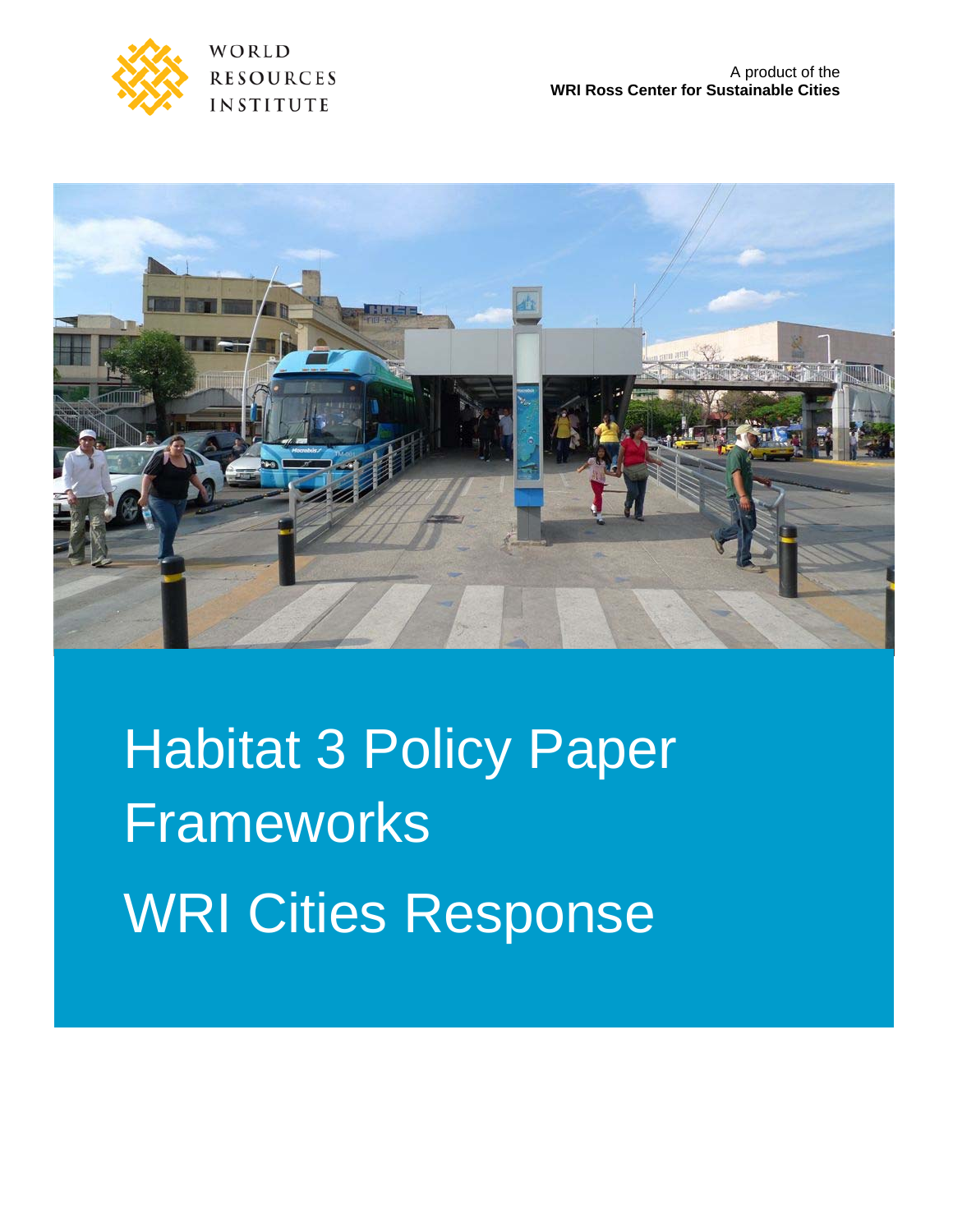

WORLD **RESOURCES** INSTITUTE



# Habitat 3 Policy Paper Frameworks WRI Cities Response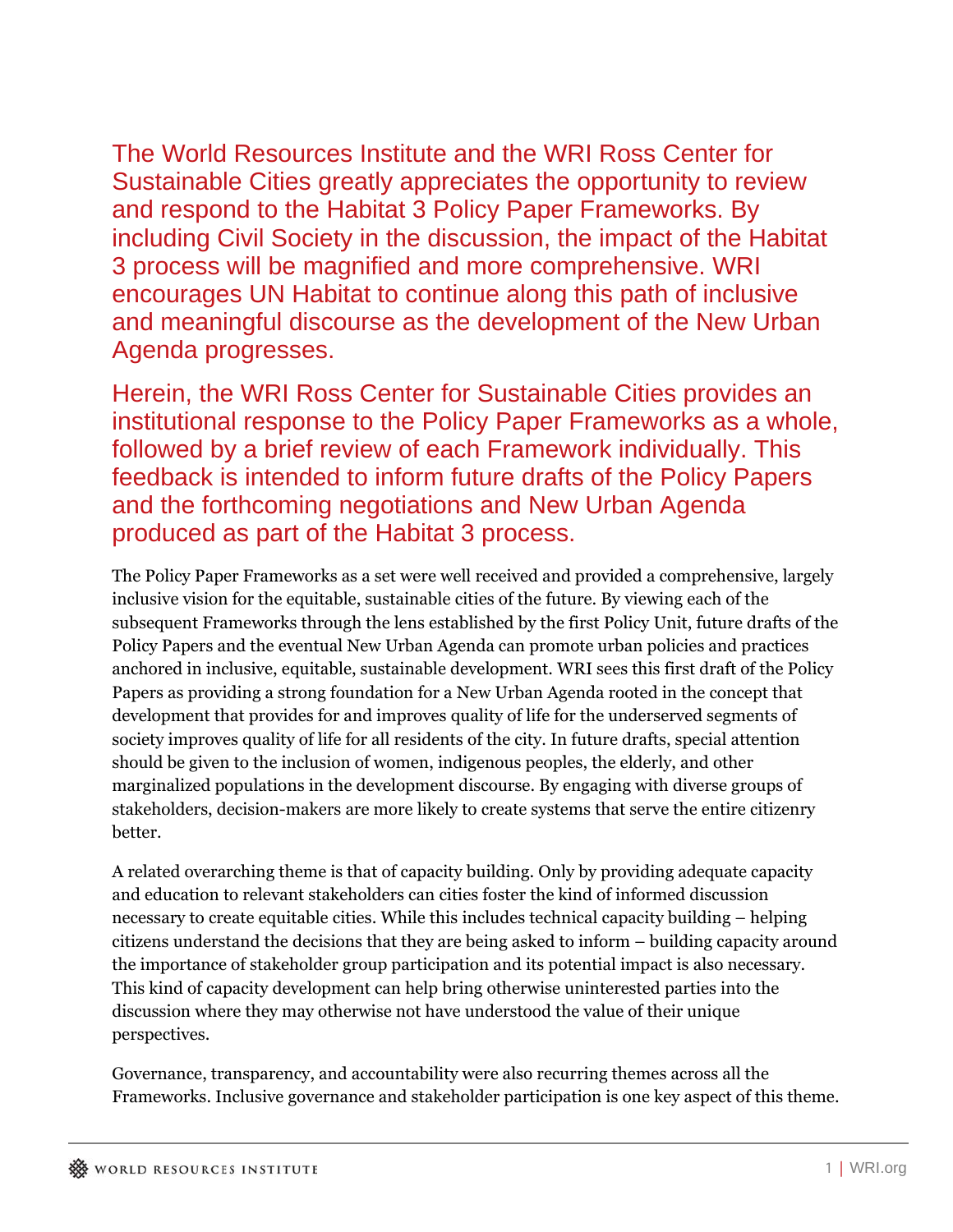The World Resources Institute and the WRI Ross Center for Sustainable Cities greatly appreciates the opportunity to review and respond to the Habitat 3 Policy Paper Frameworks. By including Civil Society in the discussion, the impact of the Habitat 3 process will be magnified and more comprehensive. WRI encourages UN Habitat to continue along this path of inclusive and meaningful discourse as the development of the New Urban Agenda progresses.

Herein, the WRI Ross Center for Sustainable Cities provides an institutional response to the Policy Paper Frameworks as a whole, followed by a brief review of each Framework individually. This feedback is intended to inform future drafts of the Policy Papers and the forthcoming negotiations and New Urban Agenda produced as part of the Habitat 3 process.

The Policy Paper Frameworks as a set were well received and provided a comprehensive, largely inclusive vision for the equitable, sustainable cities of the future. By viewing each of the subsequent Frameworks through the lens established by the first Policy Unit, future drafts of the Policy Papers and the eventual New Urban Agenda can promote urban policies and practices anchored in inclusive, equitable, sustainable development. WRI sees this first draft of the Policy Papers as providing a strong foundation for a New Urban Agenda rooted in the concept that development that provides for and improves quality of life for the underserved segments of society improves quality of life for all residents of the city. In future drafts, special attention should be given to the inclusion of women, indigenous peoples, the elderly, and other marginalized populations in the development discourse. By engaging with diverse groups of stakeholders, decision-makers are more likely to create systems that serve the entire citizenry better.

A related overarching theme is that of capacity building. Only by providing adequate capacity and education to relevant stakeholders can cities foster the kind of informed discussion necessary to create equitable cities. While this includes technical capacity building – helping citizens understand the decisions that they are being asked to inform – building capacity around the importance of stakeholder group participation and its potential impact is also necessary. This kind of capacity development can help bring otherwise uninterested parties into the discussion where they may otherwise not have understood the value of their unique perspectives.

Governance, transparency, and accountability were also recurring themes across all the Frameworks. Inclusive governance and stakeholder participation is one key aspect of this theme.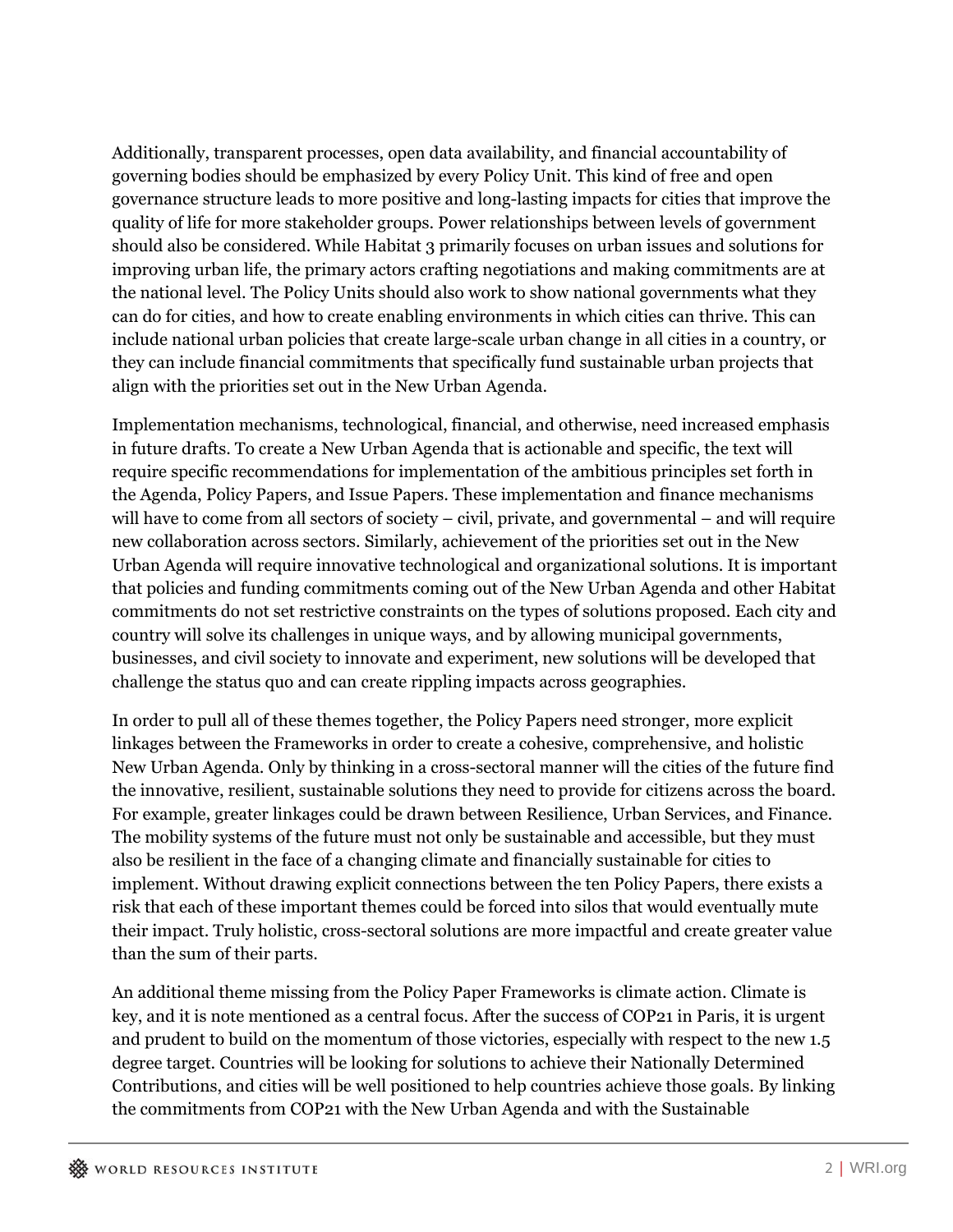Additionally, transparent processes, open data availability, and financial accountability of governing bodies should be emphasized by every Policy Unit. This kind of free and open governance structure leads to more positive and long-lasting impacts for cities that improve the quality of life for more stakeholder groups. Power relationships between levels of government should also be considered. While Habitat 3 primarily focuses on urban issues and solutions for improving urban life, the primary actors crafting negotiations and making commitments are at the national level. The Policy Units should also work to show national governments what they can do for cities, and how to create enabling environments in which cities can thrive. This can include national urban policies that create large-scale urban change in all cities in a country, or they can include financial commitments that specifically fund sustainable urban projects that align with the priorities set out in the New Urban Agenda.

Implementation mechanisms, technological, financial, and otherwise, need increased emphasis in future drafts. To create a New Urban Agenda that is actionable and specific, the text will require specific recommendations for implementation of the ambitious principles set forth in the Agenda, Policy Papers, and Issue Papers. These implementation and finance mechanisms will have to come from all sectors of society – civil, private, and governmental – and will require new collaboration across sectors. Similarly, achievement of the priorities set out in the New Urban Agenda will require innovative technological and organizational solutions. It is important that policies and funding commitments coming out of the New Urban Agenda and other Habitat commitments do not set restrictive constraints on the types of solutions proposed. Each city and country will solve its challenges in unique ways, and by allowing municipal governments, businesses, and civil society to innovate and experiment, new solutions will be developed that challenge the status quo and can create rippling impacts across geographies.

In order to pull all of these themes together, the Policy Papers need stronger, more explicit linkages between the Frameworks in order to create a cohesive, comprehensive, and holistic New Urban Agenda. Only by thinking in a cross-sectoral manner will the cities of the future find the innovative, resilient, sustainable solutions they need to provide for citizens across the board. For example, greater linkages could be drawn between Resilience, Urban Services, and Finance. The mobility systems of the future must not only be sustainable and accessible, but they must also be resilient in the face of a changing climate and financially sustainable for cities to implement. Without drawing explicit connections between the ten Policy Papers, there exists a risk that each of these important themes could be forced into silos that would eventually mute their impact. Truly holistic, cross-sectoral solutions are more impactful and create greater value than the sum of their parts.

An additional theme missing from the Policy Paper Frameworks is climate action. Climate is key, and it is note mentioned as a central focus. After the success of COP21 in Paris, it is urgent and prudent to build on the momentum of those victories, especially with respect to the new 1.5 degree target. Countries will be looking for solutions to achieve their Nationally Determined Contributions, and cities will be well positioned to help countries achieve those goals. By linking the commitments from COP21 with the New Urban Agenda and with the Sustainable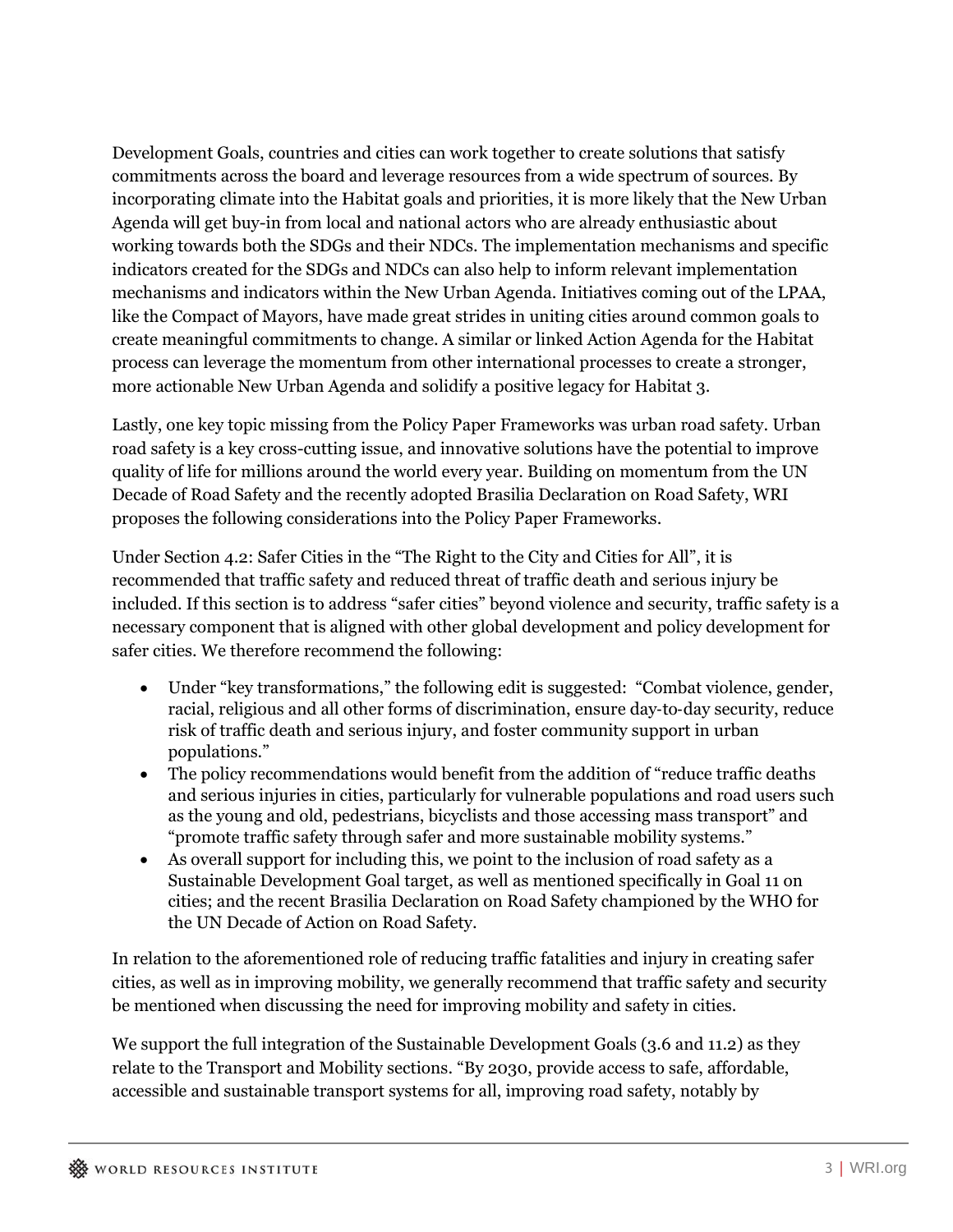Development Goals, countries and cities can work together to create solutions that satisfy commitments across the board and leverage resources from a wide spectrum of sources. By incorporating climate into the Habitat goals and priorities, it is more likely that the New Urban Agenda will get buy-in from local and national actors who are already enthusiastic about working towards both the SDGs and their NDCs. The implementation mechanisms and specific indicators created for the SDGs and NDCs can also help to inform relevant implementation mechanisms and indicators within the New Urban Agenda. Initiatives coming out of the LPAA, like the Compact of Mayors, have made great strides in uniting cities around common goals to create meaningful commitments to change. A similar or linked Action Agenda for the Habitat process can leverage the momentum from other international processes to create a stronger, more actionable New Urban Agenda and solidify a positive legacy for Habitat 3.

Lastly, one key topic missing from the Policy Paper Frameworks was urban road safety. Urban road safety is a key cross-cutting issue, and innovative solutions have the potential to improve quality of life for millions around the world every year. Building on momentum from the UN Decade of Road Safety and the recently adopted Brasilia Declaration on Road Safety, WRI proposes the following considerations into the Policy Paper Frameworks.

Under Section 4.2: Safer Cities in the "The Right to the City and Cities for All", it is recommended that traffic safety and reduced threat of traffic death and serious injury be included. If this section is to address "safer cities" beyond violence and security, traffic safety is a necessary component that is aligned with other global development and policy development for safer cities. We therefore recommend the following:

- Under "key transformations," the following edit is suggested: "Combat violence, gender, racial, religious and all other forms of discrimination, ensure day‐to‐day security, reduce risk of traffic death and serious injury, and foster community support in urban populations."
- The policy recommendations would benefit from the addition of "reduce traffic deaths and serious injuries in cities, particularly for vulnerable populations and road users such as the young and old, pedestrians, bicyclists and those accessing mass transport" and "promote traffic safety through safer and more sustainable mobility systems."
- As overall support for including this, we point to the inclusion of road safety as a Sustainable Development Goal target, as well as mentioned specifically in Goal 11 on cities; and the recent Brasilia Declaration on Road Safety championed by the WHO for the UN Decade of Action on Road Safety.

In relation to the aforementioned role of reducing traffic fatalities and injury in creating safer cities, as well as in improving mobility, we generally recommend that traffic safety and security be mentioned when discussing the need for improving mobility and safety in cities.

We support the full integration of the Sustainable Development Goals (3.6 and 11.2) as they relate to the Transport and Mobility sections. "By 2030, provide access to safe, affordable, accessible and sustainable transport systems for all, improving road safety, notably by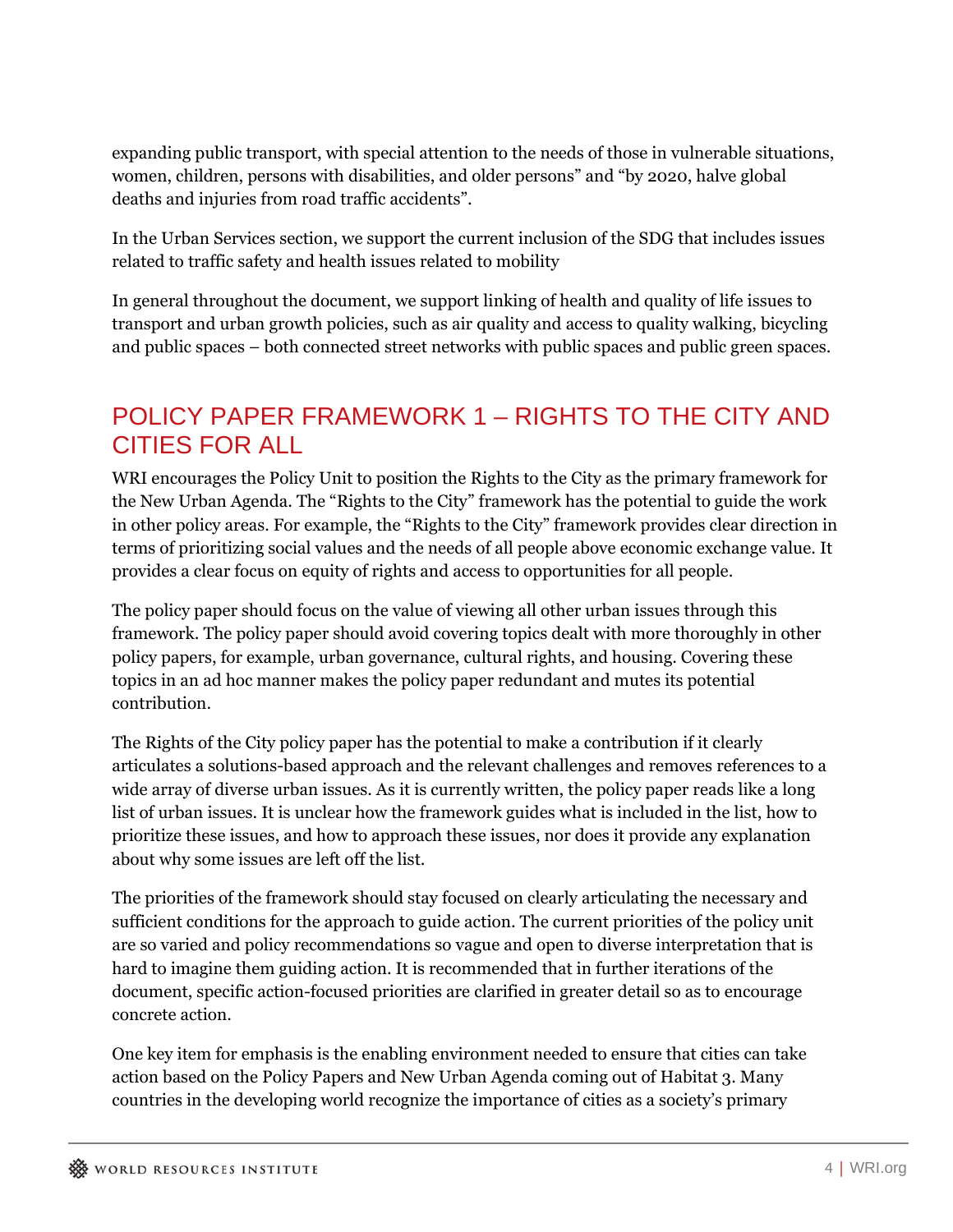expanding public transport, with special attention to the needs of those in vulnerable situations, women, children, persons with disabilities, and older persons" and "by 2020, halve global deaths and injuries from road traffic accidents".

In the Urban Services section, we support the current inclusion of the SDG that includes issues related to traffic safety and health issues related to mobility

In general throughout the document, we support linking of health and quality of life issues to transport and urban growth policies, such as air quality and access to quality walking, bicycling and public spaces – both connected street networks with public spaces and public green spaces.

# POLICY PAPER FRAMEWORK 1 – RIGHTS TO THE CITY AND CITIES FOR ALL

WRI encourages the Policy Unit to position the Rights to the City as the primary framework for the New Urban Agenda. The "Rights to the City" framework has the potential to guide the work in other policy areas. For example, the "Rights to the City" framework provides clear direction in terms of prioritizing social values and the needs of all people above economic exchange value. It provides a clear focus on equity of rights and access to opportunities for all people.

The policy paper should focus on the value of viewing all other urban issues through this framework. The policy paper should avoid covering topics dealt with more thoroughly in other policy papers, for example, urban governance, cultural rights, and housing. Covering these topics in an ad hoc manner makes the policy paper redundant and mutes its potential contribution.

The Rights of the City policy paper has the potential to make a contribution if it clearly articulates a solutions-based approach and the relevant challenges and removes references to a wide array of diverse urban issues. As it is currently written, the policy paper reads like a long list of urban issues. It is unclear how the framework guides what is included in the list, how to prioritize these issues, and how to approach these issues, nor does it provide any explanation about why some issues are left off the list.

The priorities of the framework should stay focused on clearly articulating the necessary and sufficient conditions for the approach to guide action. The current priorities of the policy unit are so varied and policy recommendations so vague and open to diverse interpretation that is hard to imagine them guiding action. It is recommended that in further iterations of the document, specific action-focused priorities are clarified in greater detail so as to encourage concrete action.

One key item for emphasis is the enabling environment needed to ensure that cities can take action based on the Policy Papers and New Urban Agenda coming out of Habitat 3. Many countries in the developing world recognize the importance of cities as a society's primary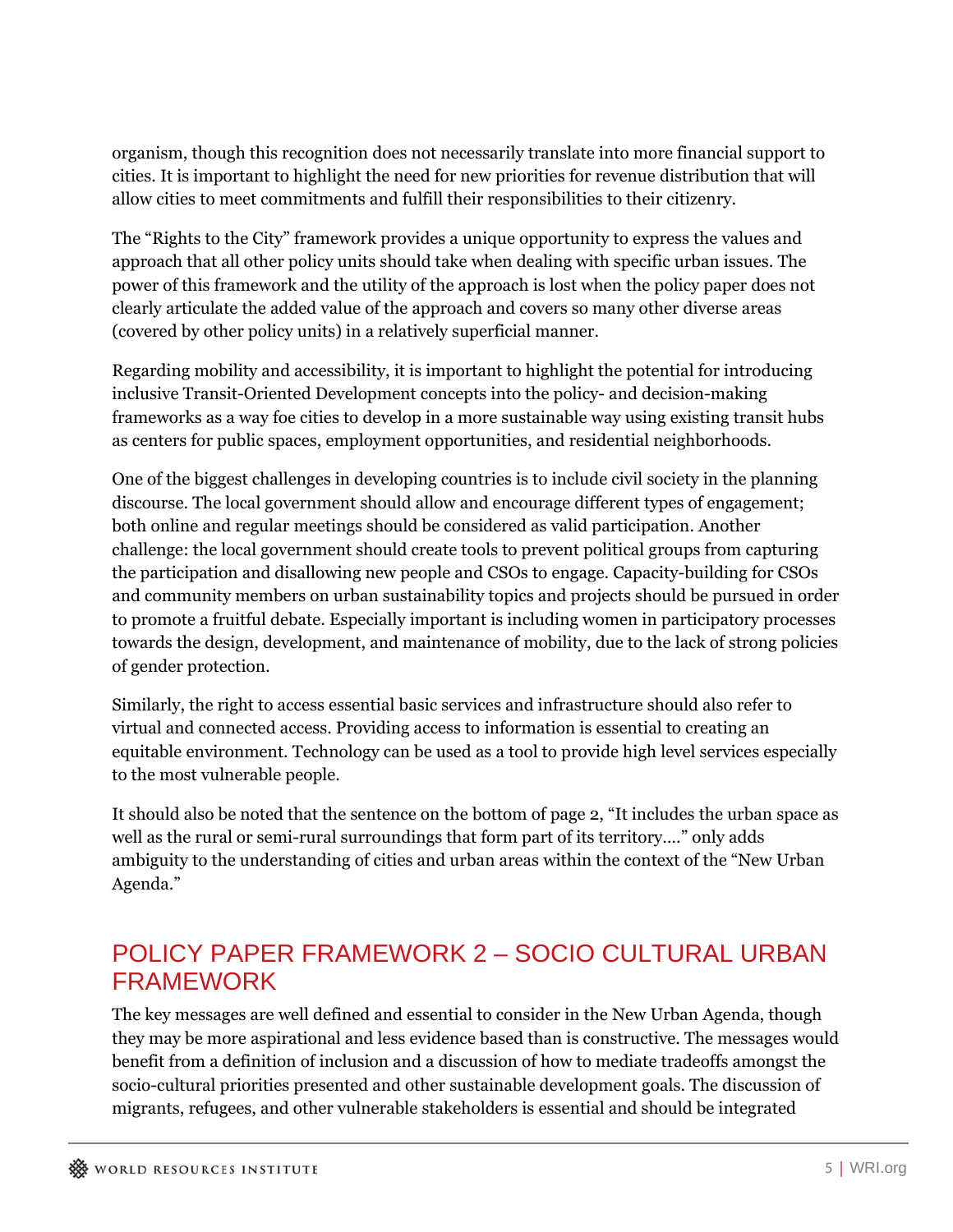organism, though this recognition does not necessarily translate into more financial support to cities. It is important to highlight the need for new priorities for revenue distribution that will allow cities to meet commitments and fulfill their responsibilities to their citizenry.

The "Rights to the City" framework provides a unique opportunity to express the values and approach that all other policy units should take when dealing with specific urban issues. The power of this framework and the utility of the approach is lost when the policy paper does not clearly articulate the added value of the approach and covers so many other diverse areas (covered by other policy units) in a relatively superficial manner.

Regarding mobility and accessibility, it is important to highlight the potential for introducing inclusive Transit-Oriented Development concepts into the policy- and decision-making frameworks as a way foe cities to develop in a more sustainable way using existing transit hubs as centers for public spaces, employment opportunities, and residential neighborhoods.

One of the biggest challenges in developing countries is to include civil society in the planning discourse. The local government should allow and encourage different types of engagement; both online and regular meetings should be considered as valid participation. Another challenge: the local government should create tools to prevent political groups from capturing the participation and disallowing new people and CSOs to engage. Capacity-building for CSOs and community members on urban sustainability topics and projects should be pursued in order to promote a fruitful debate. Especially important is including women in participatory processes towards the design, development, and maintenance of mobility, due to the lack of strong policies of gender protection.

Similarly, the right to access essential basic services and infrastructure should also refer to virtual and connected access. Providing access to information is essential to creating an equitable environment. Technology can be used as a tool to provide high level services especially to the most vulnerable people.

It should also be noted that the sentence on the bottom of page 2, "It includes the urban space as well as the rural or semi-rural surroundings that form part of its territory…." only adds ambiguity to the understanding of cities and urban areas within the context of the "New Urban Agenda."

#### POLICY PAPER FRAMEWORK 2 – SOCIO CULTURAL URBAN FRAMEWORK

The key messages are well defined and essential to consider in the New Urban Agenda, though they may be more aspirational and less evidence based than is constructive. The messages would benefit from a definition of inclusion and a discussion of how to mediate tradeoffs amongst the socio-cultural priorities presented and other sustainable development goals. The discussion of migrants, refugees, and other vulnerable stakeholders is essential and should be integrated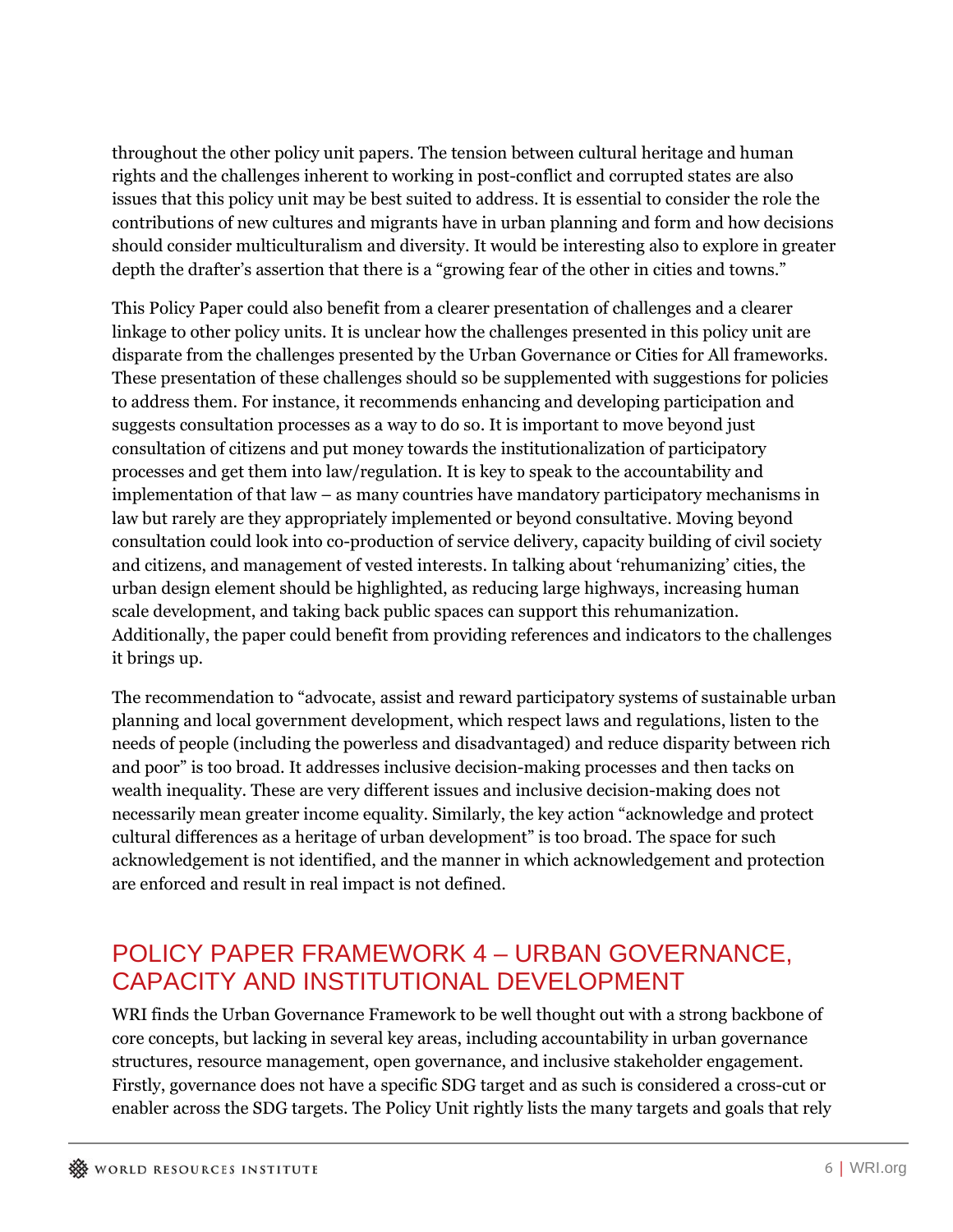throughout the other policy unit papers. The tension between cultural heritage and human rights and the challenges inherent to working in post-conflict and corrupted states are also issues that this policy unit may be best suited to address. It is essential to consider the role the contributions of new cultures and migrants have in urban planning and form and how decisions should consider multiculturalism and diversity. It would be interesting also to explore in greater depth the drafter's assertion that there is a "growing fear of the other in cities and towns."

This Policy Paper could also benefit from a clearer presentation of challenges and a clearer linkage to other policy units. It is unclear how the challenges presented in this policy unit are disparate from the challenges presented by the Urban Governance or Cities for All frameworks. These presentation of these challenges should so be supplemented with suggestions for policies to address them. For instance, it recommends enhancing and developing participation and suggests consultation processes as a way to do so. It is important to move beyond just consultation of citizens and put money towards the institutionalization of participatory processes and get them into law/regulation. It is key to speak to the accountability and implementation of that law – as many countries have mandatory participatory mechanisms in law but rarely are they appropriately implemented or beyond consultative. Moving beyond consultation could look into co-production of service delivery, capacity building of civil society and citizens, and management of vested interests. In talking about 'rehumanizing' cities, the urban design element should be highlighted, as reducing large highways, increasing human scale development, and taking back public spaces can support this rehumanization. Additionally, the paper could benefit from providing references and indicators to the challenges it brings up.

The recommendation to "advocate, assist and reward participatory systems of sustainable urban planning and local government development, which respect laws and regulations, listen to the needs of people (including the powerless and disadvantaged) and reduce disparity between rich and poor" is too broad. It addresses inclusive decision-making processes and then tacks on wealth inequality. These are very different issues and inclusive decision-making does not necessarily mean greater income equality. Similarly, the key action "acknowledge and protect cultural differences as a heritage of urban development" is too broad. The space for such acknowledgement is not identified, and the manner in which acknowledgement and protection are enforced and result in real impact is not defined.

# POLICY PAPER FRAMEWORK 4 – URBAN GOVERNANCE, CAPACITY AND INSTITUTIONAL DEVELOPMENT

WRI finds the Urban Governance Framework to be well thought out with a strong backbone of core concepts, but lacking in several key areas, including accountability in urban governance structures, resource management, open governance, and inclusive stakeholder engagement. Firstly, governance does not have a specific SDG target and as such is considered a cross-cut or enabler across the SDG targets. The Policy Unit rightly lists the many targets and goals that rely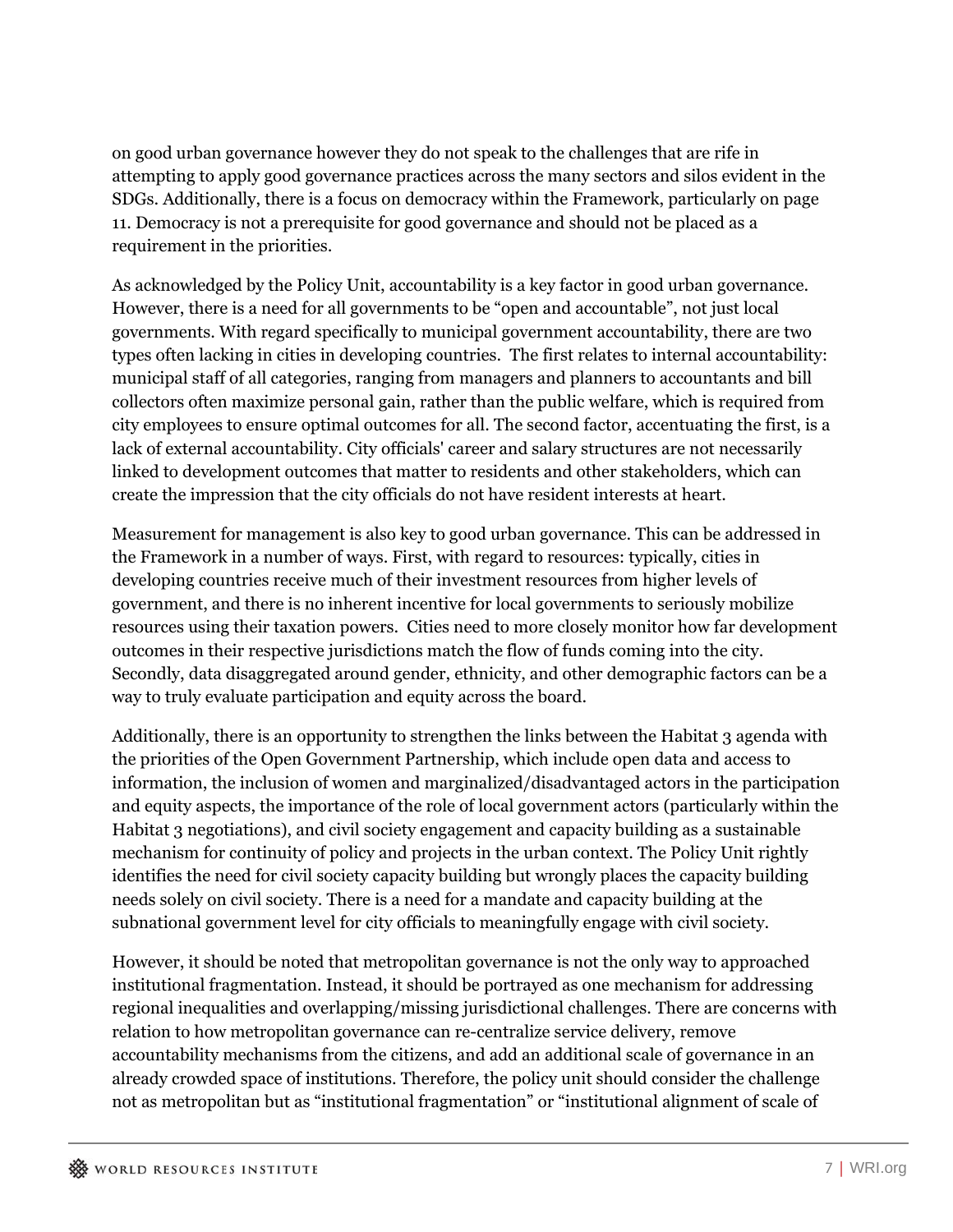on good urban governance however they do not speak to the challenges that are rife in attempting to apply good governance practices across the many sectors and silos evident in the SDGs. Additionally, there is a focus on democracy within the Framework, particularly on page 11. Democracy is not a prerequisite for good governance and should not be placed as a requirement in the priorities.

As acknowledged by the Policy Unit, accountability is a key factor in good urban governance. However, there is a need for all governments to be "open and accountable", not just local governments. With regard specifically to municipal government accountability, there are two types often lacking in cities in developing countries. The first relates to internal accountability: municipal staff of all categories, ranging from managers and planners to accountants and bill collectors often maximize personal gain, rather than the public welfare, which is required from city employees to ensure optimal outcomes for all. The second factor, accentuating the first, is a lack of external accountability. City officials' career and salary structures are not necessarily linked to development outcomes that matter to residents and other stakeholders, which can create the impression that the city officials do not have resident interests at heart.

Measurement for management is also key to good urban governance. This can be addressed in the Framework in a number of ways. First, with regard to resources: typically, cities in developing countries receive much of their investment resources from higher levels of government, and there is no inherent incentive for local governments to seriously mobilize resources using their taxation powers. Cities need to more closely monitor how far development outcomes in their respective jurisdictions match the flow of funds coming into the city. Secondly, data disaggregated around gender, ethnicity, and other demographic factors can be a way to truly evaluate participation and equity across the board.

Additionally, there is an opportunity to strengthen the links between the Habitat 3 agenda with the priorities of the Open Government Partnership, which include open data and access to information, the inclusion of women and marginalized/disadvantaged actors in the participation and equity aspects, the importance of the role of local government actors (particularly within the Habitat 3 negotiations), and civil society engagement and capacity building as a sustainable mechanism for continuity of policy and projects in the urban context. The Policy Unit rightly identifies the need for civil society capacity building but wrongly places the capacity building needs solely on civil society. There is a need for a mandate and capacity building at the subnational government level for city officials to meaningfully engage with civil society.

However, it should be noted that metropolitan governance is not the only way to approached institutional fragmentation. Instead, it should be portrayed as one mechanism for addressing regional inequalities and overlapping/missing jurisdictional challenges. There are concerns with relation to how metropolitan governance can re-centralize service delivery, remove accountability mechanisms from the citizens, and add an additional scale of governance in an already crowded space of institutions. Therefore, the policy unit should consider the challenge not as metropolitan but as "institutional fragmentation" or "institutional alignment of scale of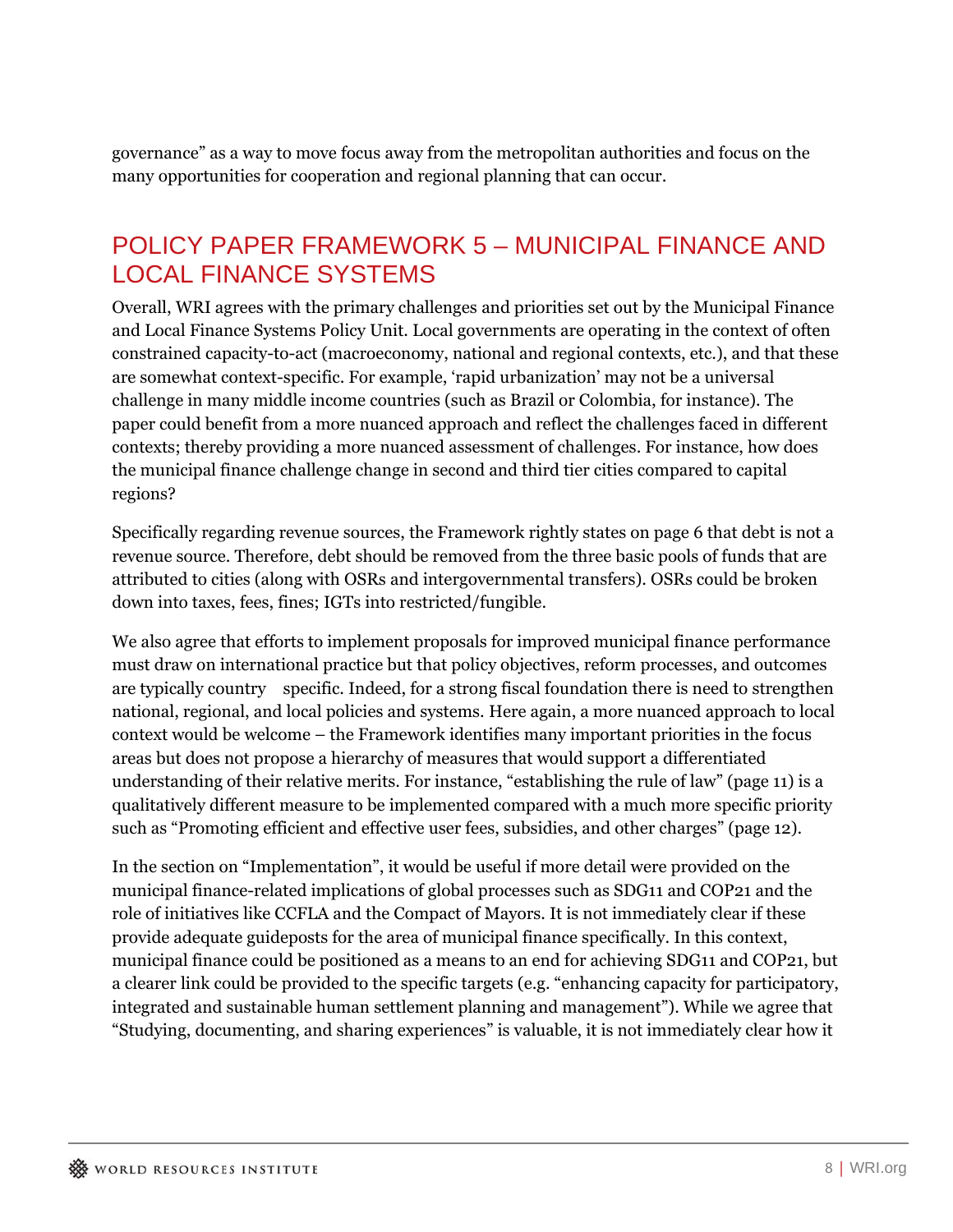governance" as a way to move focus away from the metropolitan authorities and focus on the many opportunities for cooperation and regional planning that can occur.

#### POLICY PAPER FRAMEWORK 5 – MUNICIPAL FINANCE AND LOCAL FINANCE SYSTEMS

Overall, WRI agrees with the primary challenges and priorities set out by the Municipal Finance and Local Finance Systems Policy Unit. Local governments are operating in the context of often constrained capacity-to-act (macroeconomy, national and regional contexts, etc.), and that these are somewhat context-specific. For example, 'rapid urbanization' may not be a universal challenge in many middle income countries (such as Brazil or Colombia, for instance). The paper could benefit from a more nuanced approach and reflect the challenges faced in different contexts; thereby providing a more nuanced assessment of challenges. For instance, how does the municipal finance challenge change in second and third tier cities compared to capital regions?

Specifically regarding revenue sources, the Framework rightly states on page 6 that debt is not a revenue source. Therefore, debt should be removed from the three basic pools of funds that are attributed to cities (along with OSRs and intergovernmental transfers). OSRs could be broken down into taxes, fees, fines; IGTs into restricted/fungible.

We also agree that efforts to implement proposals for improved municipal finance performance must draw on international practice but that policy objectives, reform processes, and outcomes are typically country specific. Indeed, for a strong fiscal foundation there is need to strengthen national, regional, and local policies and systems. Here again, a more nuanced approach to local context would be welcome – the Framework identifies many important priorities in the focus areas but does not propose a hierarchy of measures that would support a differentiated understanding of their relative merits. For instance, "establishing the rule of law" (page 11) is a qualitatively different measure to be implemented compared with a much more specific priority such as "Promoting efficient and effective user fees, subsidies, and other charges" (page 12).

In the section on "Implementation", it would be useful if more detail were provided on the municipal finance-related implications of global processes such as SDG11 and COP21 and the role of initiatives like CCFLA and the Compact of Mayors. It is not immediately clear if these provide adequate guideposts for the area of municipal finance specifically. In this context, municipal finance could be positioned as a means to an end for achieving SDG11 and COP21, but a clearer link could be provided to the specific targets (e.g. "enhancing capacity for participatory, integrated and sustainable human settlement planning and management"). While we agree that "Studying, documenting, and sharing experiences" is valuable, it is not immediately clear how it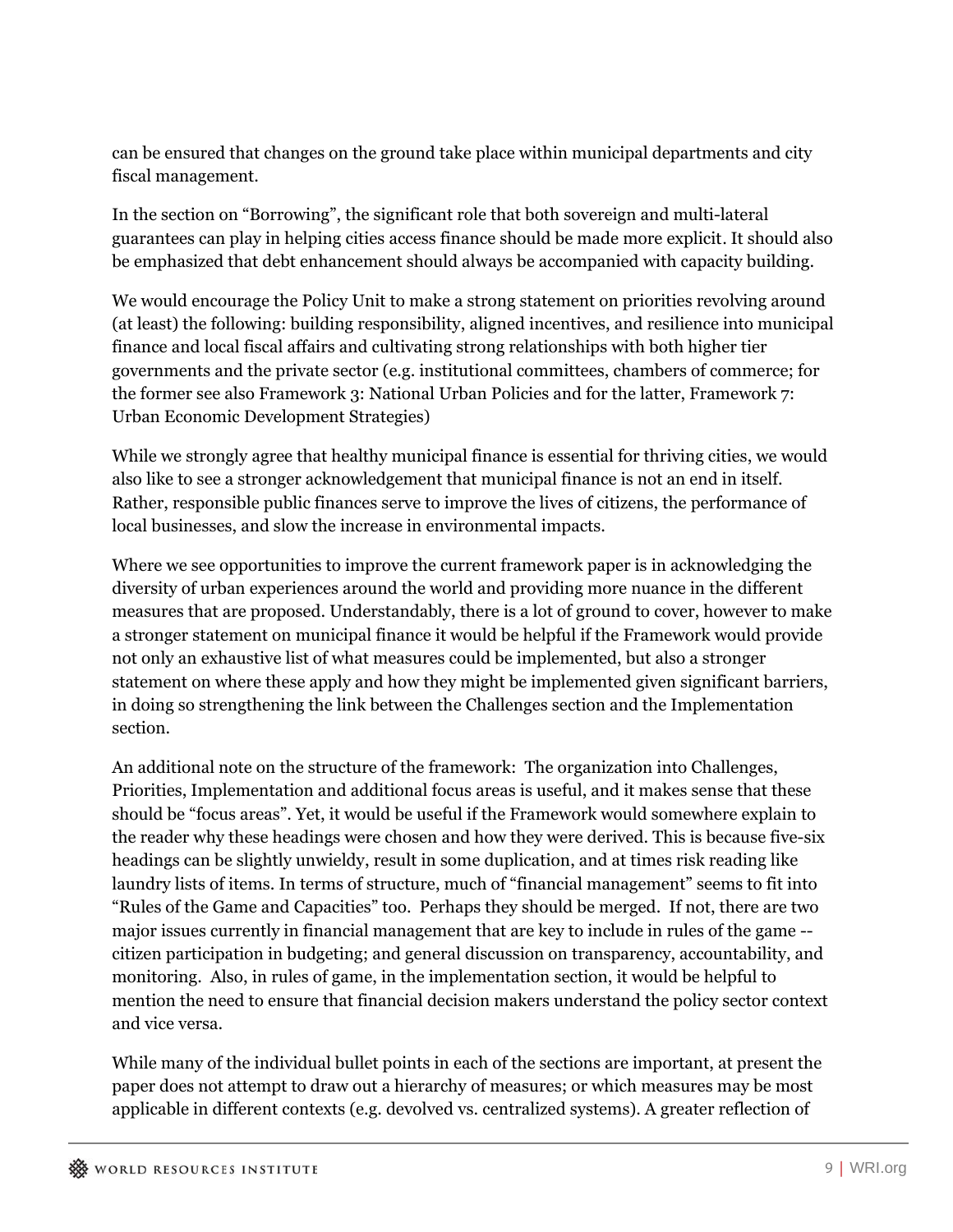can be ensured that changes on the ground take place within municipal departments and city fiscal management.

In the section on "Borrowing", the significant role that both sovereign and multi-lateral guarantees can play in helping cities access finance should be made more explicit*.* It should also be emphasized that debt enhancement should always be accompanied with capacity building.

We would encourage the Policy Unit to make a strong statement on priorities revolving around (at least) the following: building responsibility, aligned incentives, and resilience into municipal finance and local fiscal affairs and cultivating strong relationships with both higher tier governments and the private sector (e.g. institutional committees, chambers of commerce; for the former see also Framework 3: National Urban Policies and for the latter, Framework 7: Urban Economic Development Strategies)

While we strongly agree that healthy municipal finance is essential for thriving cities, we would also like to see a stronger acknowledgement that municipal finance is not an end in itself. Rather, responsible public finances serve to improve the lives of citizens, the performance of local businesses, and slow the increase in environmental impacts.

Where we see opportunities to improve the current framework paper is in acknowledging the diversity of urban experiences around the world and providing more nuance in the different measures that are proposed. Understandably, there is a lot of ground to cover, however to make a stronger statement on municipal finance it would be helpful if the Framework would provide not only an exhaustive list of what measures could be implemented, but also a stronger statement on where these apply and how they might be implemented given significant barriers, in doing so strengthening the link between the Challenges section and the Implementation section.

An additional note on the structure of the framework: The organization into Challenges, Priorities, Implementation and additional focus areas is useful, and it makes sense that these should be "focus areas". Yet, it would be useful if the Framework would somewhere explain to the reader why these headings were chosen and how they were derived. This is because five-six headings can be slightly unwieldy, result in some duplication, and at times risk reading like laundry lists of items. In terms of structure, much of "financial management" seems to fit into "Rules of the Game and Capacities" too. Perhaps they should be merged. If not, there are two major issues currently in financial management that are key to include in rules of the game - citizen participation in budgeting; and general discussion on transparency, accountability, and monitoring. Also, in rules of game, in the implementation section, it would be helpful to mention the need to ensure that financial decision makers understand the policy sector context and vice versa.

While many of the individual bullet points in each of the sections are important, at present the paper does not attempt to draw out a hierarchy of measures; or which measures may be most applicable in different contexts (e.g. devolved vs. centralized systems). A greater reflection of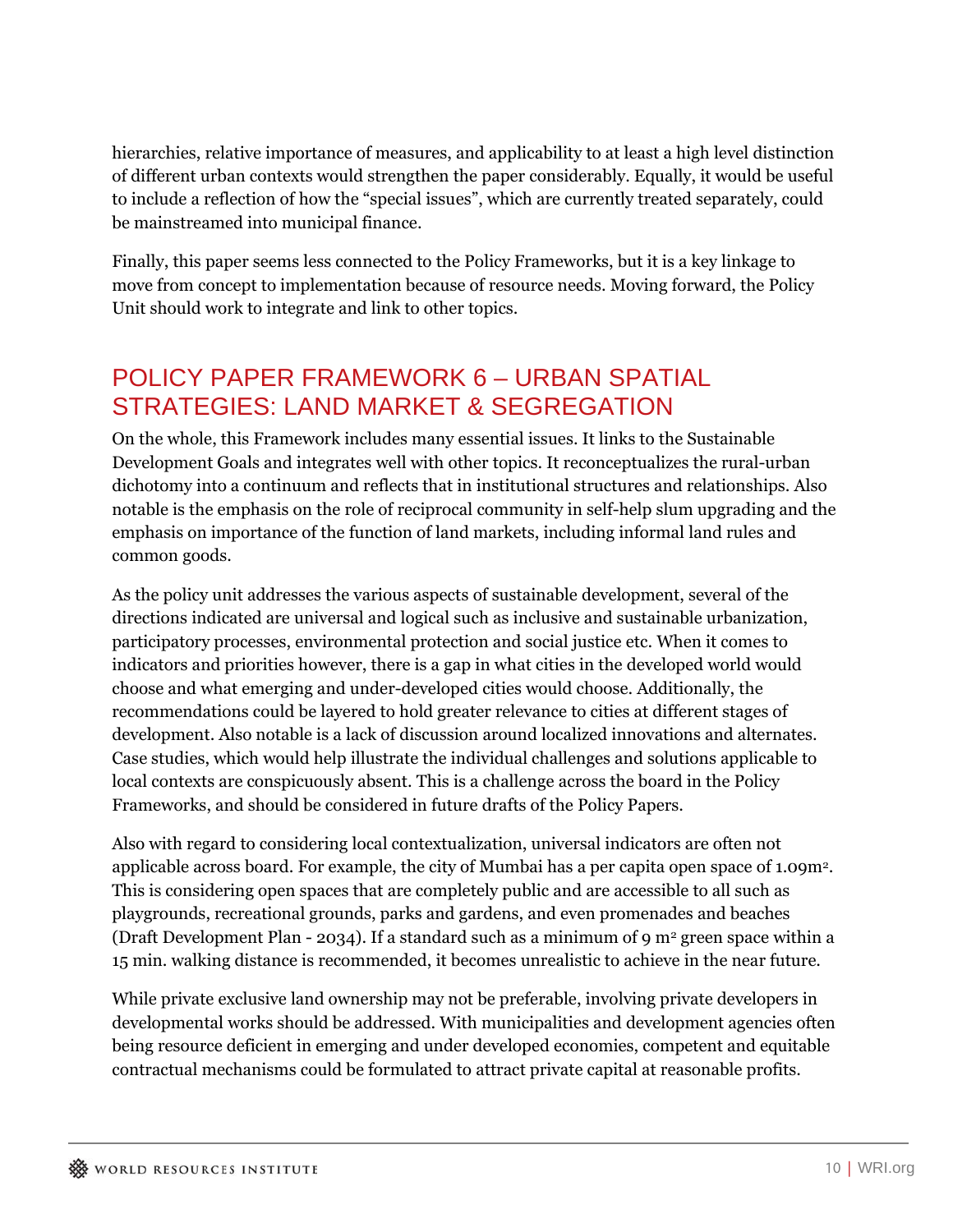hierarchies, relative importance of measures, and applicability to at least a high level distinction of different urban contexts would strengthen the paper considerably. Equally, it would be useful to include a reflection of how the "special issues", which are currently treated separately, could be mainstreamed into municipal finance.

Finally, this paper seems less connected to the Policy Frameworks, but it is a key linkage to move from concept to implementation because of resource needs. Moving forward, the Policy Unit should work to integrate and link to other topics.

# POLICY PAPER FRAMEWORK 6 – URBAN SPATIAL STRATEGIES: LAND MARKET & SEGREGATION

On the whole, this Framework includes many essential issues. It links to the Sustainable Development Goals and integrates well with other topics. It reconceptualizes the rural-urban dichotomy into a continuum and reflects that in institutional structures and relationships. Also notable is the emphasis on the role of reciprocal community in self-help slum upgrading and the emphasis on importance of the function of land markets, including informal land rules and common goods.

As the policy unit addresses the various aspects of sustainable development, several of the directions indicated are universal and logical such as inclusive and sustainable urbanization, participatory processes, environmental protection and social justice etc. When it comes to indicators and priorities however, there is a gap in what cities in the developed world would choose and what emerging and under-developed cities would choose. Additionally, the recommendations could be layered to hold greater relevance to cities at different stages of development. Also notable is a lack of discussion around localized innovations and alternates. Case studies, which would help illustrate the individual challenges and solutions applicable to local contexts are conspicuously absent. This is a challenge across the board in the Policy Frameworks, and should be considered in future drafts of the Policy Papers.

Also with regard to considering local contextualization, universal indicators are often not applicable across board. For example, the city of Mumbai has a per capita open space of 1.09m2. This is considering open spaces that are completely public and are accessible to all such as playgrounds, recreational grounds, parks and gardens, and even promenades and beaches (Draft Development Plan - 2034). If a standard such as a minimum of 9 m2 green space within a 15 min. walking distance is recommended, it becomes unrealistic to achieve in the near future.

While private exclusive land ownership may not be preferable, involving private developers in developmental works should be addressed. With municipalities and development agencies often being resource deficient in emerging and under developed economies, competent and equitable contractual mechanisms could be formulated to attract private capital at reasonable profits.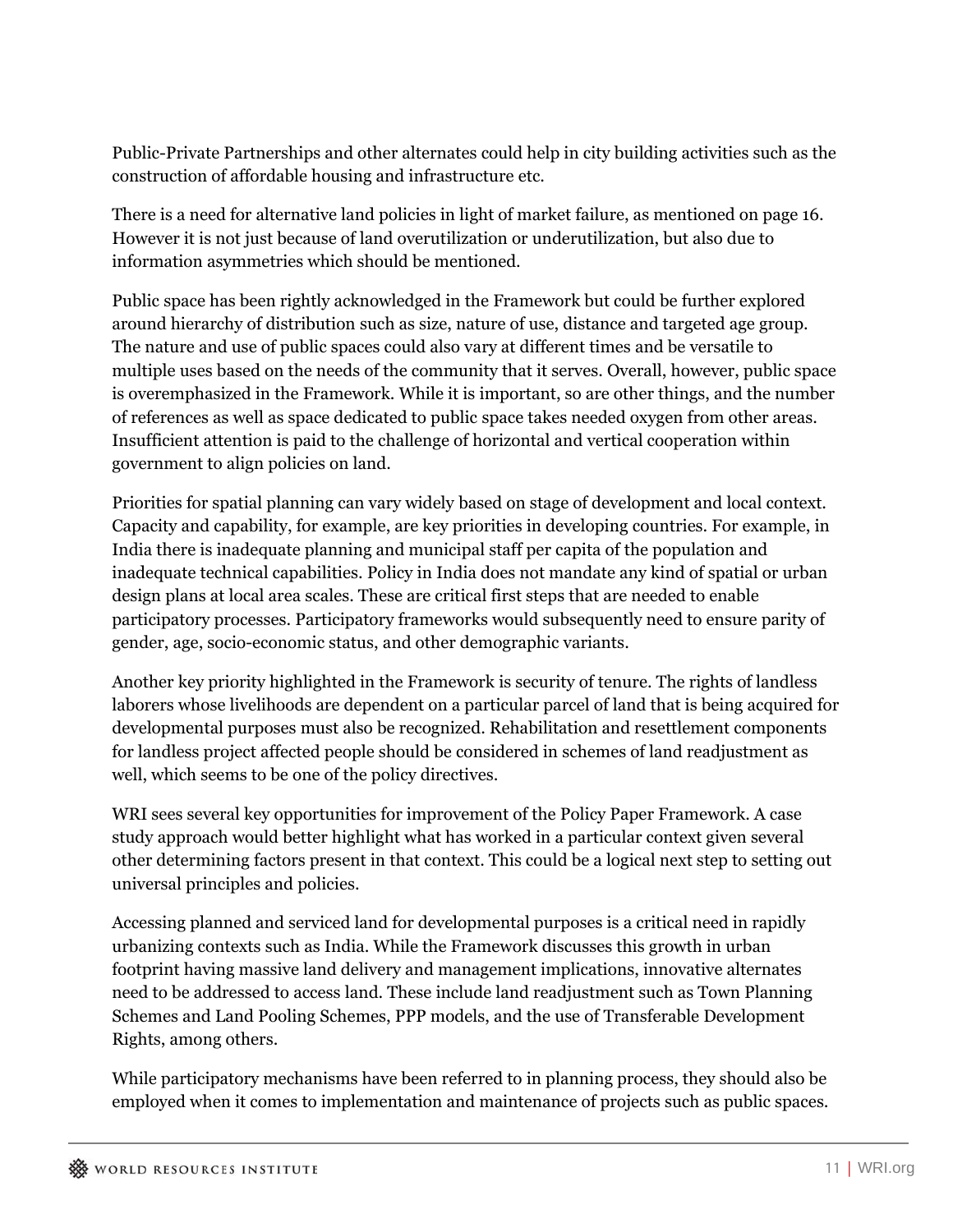Public-Private Partnerships and other alternates could help in city building activities such as the construction of affordable housing and infrastructure etc.

There is a need for alternative land policies in light of market failure, as mentioned on page 16. However it is not just because of land overutilization or underutilization, but also due to information asymmetries which should be mentioned.

Public space has been rightly acknowledged in the Framework but could be further explored around hierarchy of distribution such as size, nature of use, distance and targeted age group. The nature and use of public spaces could also vary at different times and be versatile to multiple uses based on the needs of the community that it serves. Overall, however, public space is overemphasized in the Framework. While it is important, so are other things, and the number of references as well as space dedicated to public space takes needed oxygen from other areas. Insufficient attention is paid to the challenge of horizontal and vertical cooperation within government to align policies on land.

Priorities for spatial planning can vary widely based on stage of development and local context. Capacity and capability, for example, are key priorities in developing countries. For example, in India there is inadequate planning and municipal staff per capita of the population and inadequate technical capabilities. Policy in India does not mandate any kind of spatial or urban design plans at local area scales. These are critical first steps that are needed to enable participatory processes. Participatory frameworks would subsequently need to ensure parity of gender, age, socio-economic status, and other demographic variants.

Another key priority highlighted in the Framework is security of tenure. The rights of landless laborers whose livelihoods are dependent on a particular parcel of land that is being acquired for developmental purposes must also be recognized. Rehabilitation and resettlement components for landless project affected people should be considered in schemes of land readjustment as well, which seems to be one of the policy directives.

WRI sees several key opportunities for improvement of the Policy Paper Framework. A case study approach would better highlight what has worked in a particular context given several other determining factors present in that context. This could be a logical next step to setting out universal principles and policies.

Accessing planned and serviced land for developmental purposes is a critical need in rapidly urbanizing contexts such as India. While the Framework discusses this growth in urban footprint having massive land delivery and management implications, innovative alternates need to be addressed to access land. These include land readjustment such as Town Planning Schemes and Land Pooling Schemes, PPP models, and the use of Transferable Development Rights, among others.

While participatory mechanisms have been referred to in planning process, they should also be employed when it comes to implementation and maintenance of projects such as public spaces.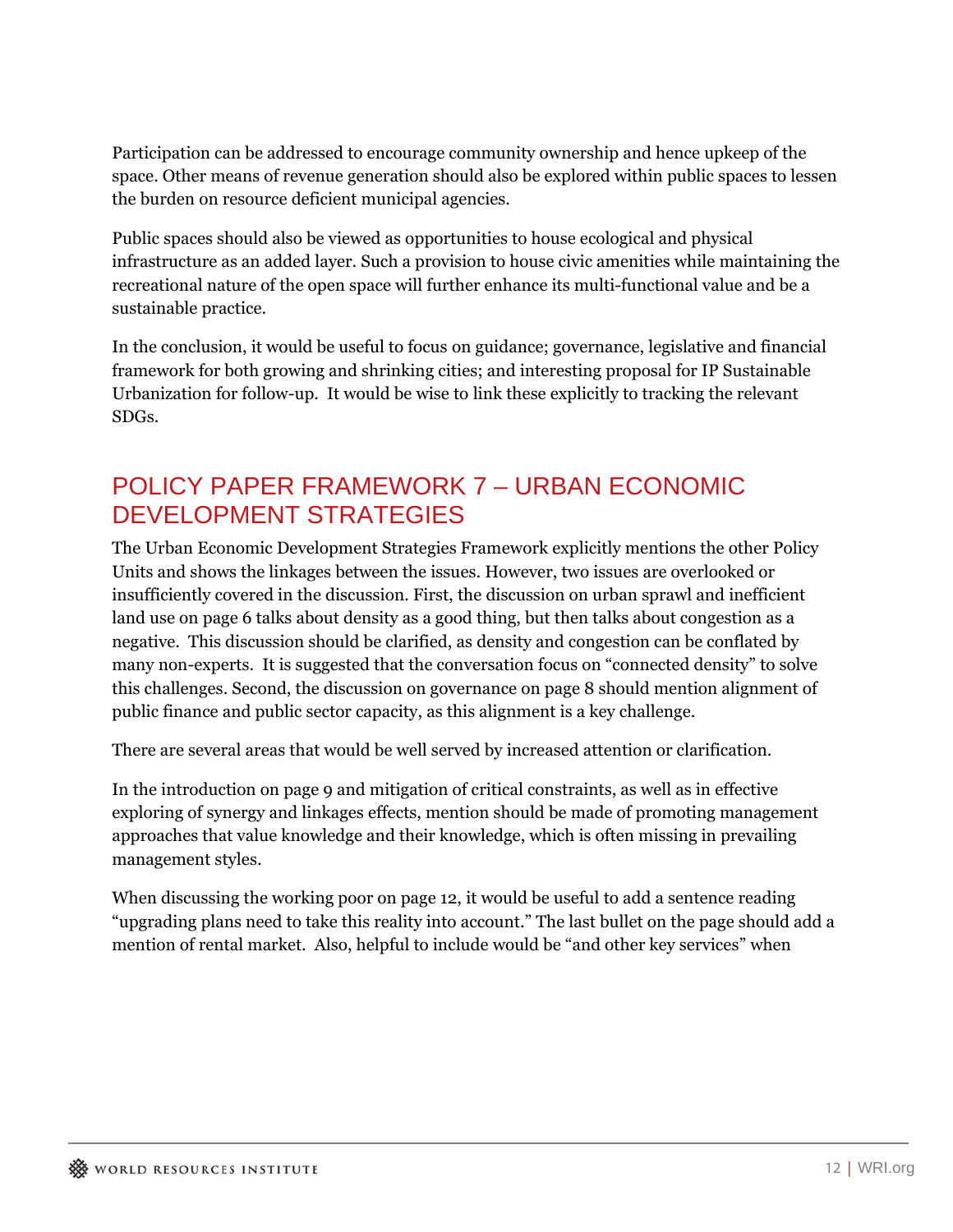Participation can be addressed to encourage community ownership and hence upkeep of the space. Other means of revenue generation should also be explored within public spaces to lessen the burden on resource deficient municipal agencies.

Public spaces should also be viewed as opportunities to house ecological and physical infrastructure as an added layer. Such a provision to house civic amenities while maintaining the recreational nature of the open space will further enhance its multi-functional value and be a sustainable practice.

In the conclusion, it would be useful to focus on guidance; governance, legislative and financial framework for both growing and shrinking cities; and interesting proposal for IP Sustainable Urbanization for follow-up. It would be wise to link these explicitly to tracking the relevant SDGs.

#### POLICY PAPER FRAMEWORK 7 – URBAN ECONOMIC DEVELOPMENT STRATEGIES

The Urban Economic Development Strategies Framework explicitly mentions the other Policy Units and shows the linkages between the issues. However, two issues are overlooked or insufficiently covered in the discussion. First, the discussion on urban sprawl and inefficient land use on page 6 talks about density as a good thing, but then talks about congestion as a negative. This discussion should be clarified, as density and congestion can be conflated by many non-experts. It is suggested that the conversation focus on "connected density" to solve this challenges. Second, the discussion on governance on page 8 should mention alignment of public finance and public sector capacity, as this alignment is a key challenge.

There are several areas that would be well served by increased attention or clarification.

In the introduction on page 9 and mitigation of critical constraints, as well as in effective exploring of synergy and linkages effects, mention should be made of promoting management approaches that value knowledge and their knowledge, which is often missing in prevailing management styles.

When discussing the working poor on page 12, it would be useful to add a sentence reading "upgrading plans need to take this reality into account." The last bullet on the page should add a mention of rental market. Also, helpful to include would be "and other key services" when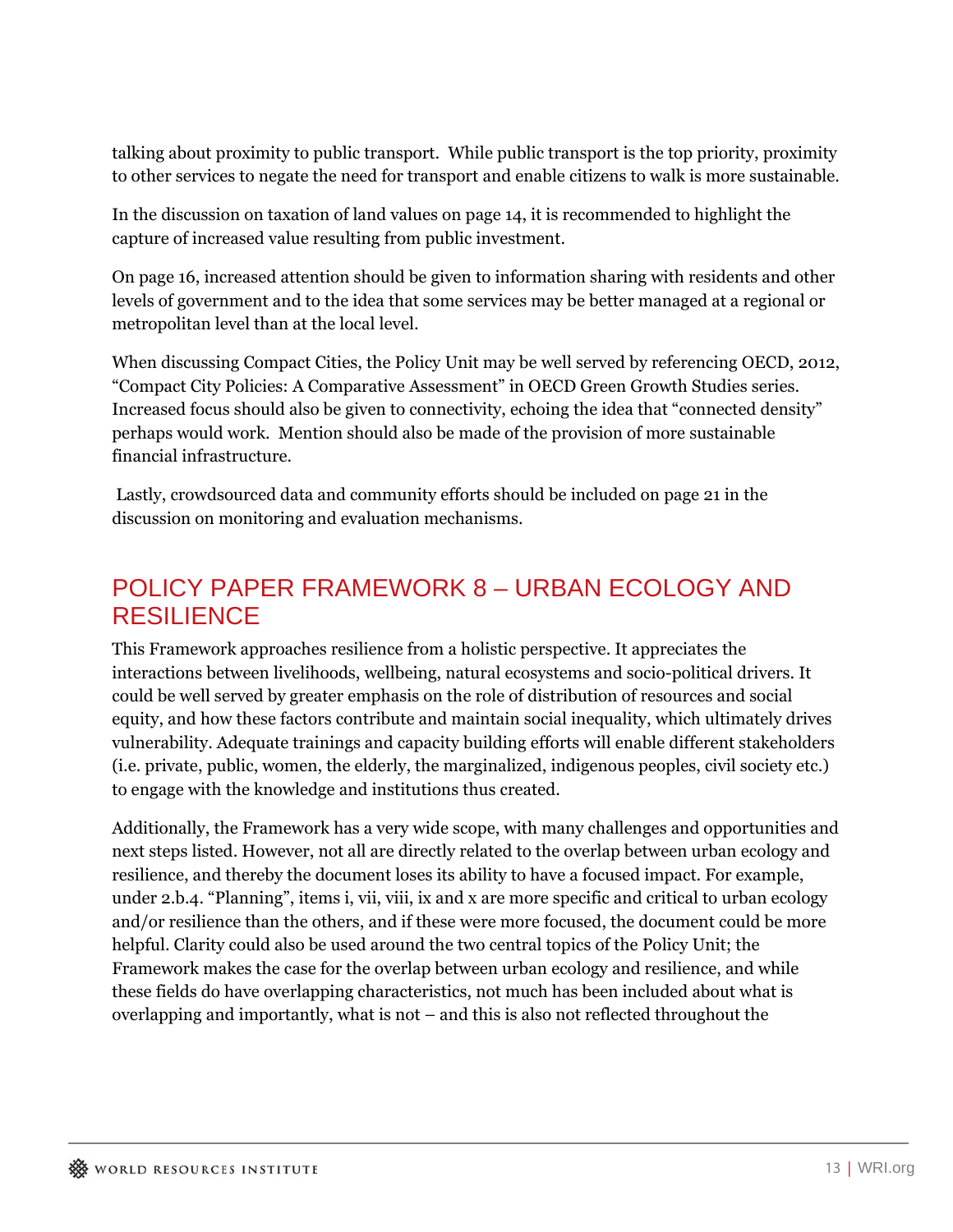talking about proximity to public transport. While public transport is the top priority, proximity to other services to negate the need for transport and enable citizens to walk is more sustainable.

In the discussion on taxation of land values on page 14, it is recommended to highlight the capture of increased value resulting from public investment.

On page 16, increased attention should be given to information sharing with residents and other levels of government and to the idea that some services may be better managed at a regional or metropolitan level than at the local level.

When discussing Compact Cities, the Policy Unit may be well served by referencing OECD, 2012, "Compact City Policies: A Comparative Assessment" in OECD Green Growth Studies series. Increased focus should also be given to connectivity, echoing the idea that "connected density" perhaps would work. Mention should also be made of the provision of more sustainable financial infrastructure.

 Lastly, crowdsourced data and community efforts should be included on page 21 in the discussion on monitoring and evaluation mechanisms.

# POLICY PAPER FRAMEWORK 8 – URBAN ECOLOGY AND RESILIENCE

This Framework approaches resilience from a holistic perspective. It appreciates the interactions between livelihoods, wellbeing, natural ecosystems and socio-political drivers. It could be well served by greater emphasis on the role of distribution of resources and social equity, and how these factors contribute and maintain social inequality, which ultimately drives vulnerability. Adequate trainings and capacity building efforts will enable different stakeholders (i.e. private, public, women, the elderly, the marginalized, indigenous peoples, civil society etc.) to engage with the knowledge and institutions thus created.

Additionally, the Framework has a very wide scope, with many challenges and opportunities and next steps listed. However, not all are directly related to the overlap between urban ecology and resilience, and thereby the document loses its ability to have a focused impact. For example, under 2.b.4. "Planning", items i, vii, viii, ix and x are more specific and critical to urban ecology and/or resilience than the others, and if these were more focused, the document could be more helpful. Clarity could also be used around the two central topics of the Policy Unit; the Framework makes the case for the overlap between urban ecology and resilience, and while these fields do have overlapping characteristics, not much has been included about what is overlapping and importantly, what is not – and this is also not reflected throughout the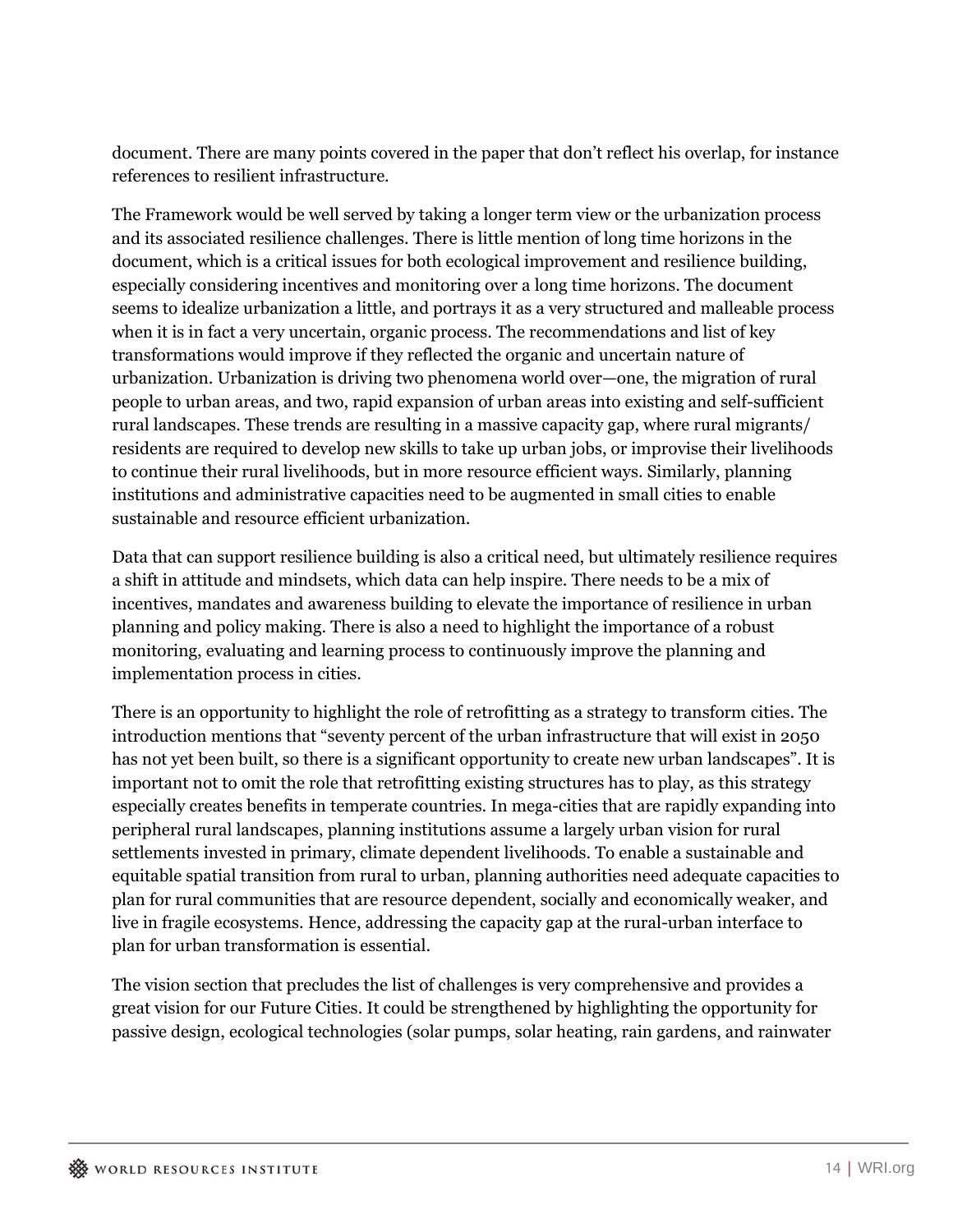document. There are many points covered in the paper that don't reflect his overlap, for instance references to resilient infrastructure.

The Framework would be well served by taking a longer term view or the urbanization process and its associated resilience challenges. There is little mention of long time horizons in the document, which is a critical issues for both ecological improvement and resilience building, especially considering incentives and monitoring over a long time horizons. The document seems to idealize urbanization a little, and portrays it as a very structured and malleable process when it is in fact a very uncertain, organic process. The recommendations and list of key transformations would improve if they reflected the organic and uncertain nature of urbanization. Urbanization is driving two phenomena world over—one, the migration of rural people to urban areas, and two, rapid expansion of urban areas into existing and self-sufficient rural landscapes. These trends are resulting in a massive capacity gap, where rural migrants/ residents are required to develop new skills to take up urban jobs, or improvise their livelihoods to continue their rural livelihoods, but in more resource efficient ways. Similarly, planning institutions and administrative capacities need to be augmented in small cities to enable sustainable and resource efficient urbanization.

Data that can support resilience building is also a critical need, but ultimately resilience requires a shift in attitude and mindsets, which data can help inspire. There needs to be a mix of incentives, mandates and awareness building to elevate the importance of resilience in urban planning and policy making. There is also a need to highlight the importance of a robust monitoring, evaluating and learning process to continuously improve the planning and implementation process in cities.

There is an opportunity to highlight the role of retrofitting as a strategy to transform cities. The introduction mentions that "seventy percent of the urban infrastructure that will exist in 2050 has not yet been built, so there is a significant opportunity to create new urban landscapes". It is important not to omit the role that retrofitting existing structures has to play, as this strategy especially creates benefits in temperate countries. In mega-cities that are rapidly expanding into peripheral rural landscapes, planning institutions assume a largely urban vision for rural settlements invested in primary, climate dependent livelihoods. To enable a sustainable and equitable spatial transition from rural to urban, planning authorities need adequate capacities to plan for rural communities that are resource dependent, socially and economically weaker, and live in fragile ecosystems. Hence, addressing the capacity gap at the rural-urban interface to plan for urban transformation is essential.

The vision section that precludes the list of challenges is very comprehensive and provides a great vision for our Future Cities. It could be strengthened by highlighting the opportunity for passive design, ecological technologies (solar pumps, solar heating, rain gardens, and rainwater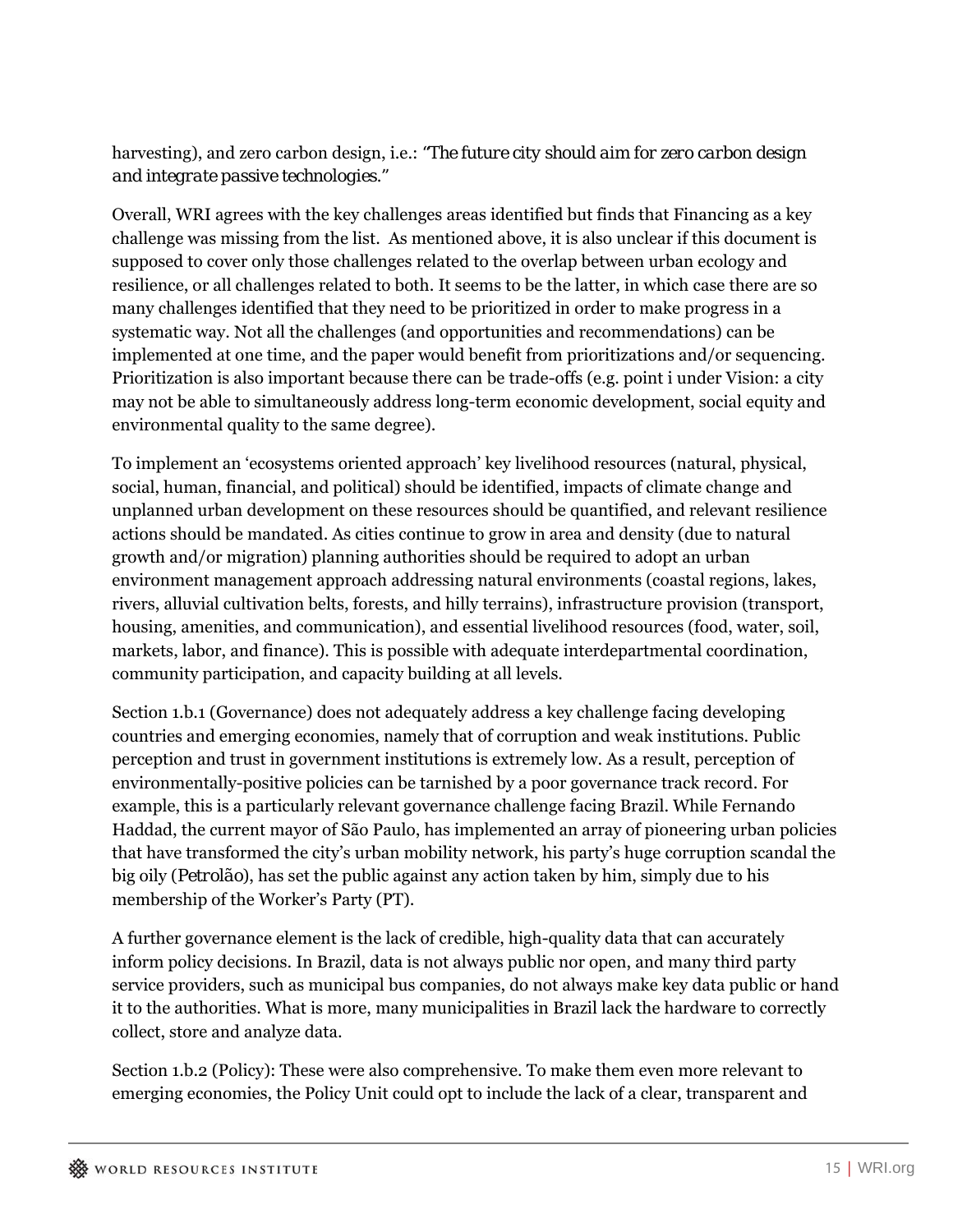#### harvesting), and zero carbon design, i.e.: *"The future city should aim for zero carbon design and integrate passive technologies."*

Overall, WRI agrees with the key challenges areas identified but finds that Financing as a key challenge was missing from the list. As mentioned above, it is also unclear if this document is supposed to cover only those challenges related to the overlap between urban ecology and resilience, or all challenges related to both. It seems to be the latter, in which case there are so many challenges identified that they need to be prioritized in order to make progress in a systematic way. Not all the challenges (and opportunities and recommendations) can be implemented at one time, and the paper would benefit from prioritizations and/or sequencing. Prioritization is also important because there can be trade-offs (e.g. point i under Vision: a city may not be able to simultaneously address long-term economic development, social equity and environmental quality to the same degree).

To implement an 'ecosystems oriented approach' key livelihood resources (natural, physical, social, human, financial, and political) should be identified, impacts of climate change and unplanned urban development on these resources should be quantified, and relevant resilience actions should be mandated. As cities continue to grow in area and density (due to natural growth and/or migration) planning authorities should be required to adopt an urban environment management approach addressing natural environments (coastal regions, lakes, rivers, alluvial cultivation belts, forests, and hilly terrains), infrastructure provision (transport, housing, amenities, and communication), and essential livelihood resources (food, water, soil, markets, labor, and finance). This is possible with adequate interdepartmental coordination, community participation, and capacity building at all levels.

Section 1.b.1 (Governance) does not adequately address a key challenge facing developing countries and emerging economies, namely that of corruption and weak institutions. Public perception and trust in government institutions is extremely low. As a result, perception of environmentally-positive policies can be tarnished by a poor governance track record. For example, this is a particularly relevant governance challenge facing Brazil. While Fernando Haddad, the current mayor of São Paulo, has implemented an array of pioneering urban policies that have transformed the city's urban mobility network, his party's huge corruption scandal the big oily (*Petrolão*), has set the public against any action taken by him, simply due to his membership of the Worker's Party (PT).

A further governance element is the lack of credible, high-quality data that can accurately inform policy decisions. In Brazil, data is not always public nor open, and many third party service providers, such as municipal bus companies, do not always make key data public or hand it to the authorities. What is more, many municipalities in Brazil lack the hardware to correctly collect, store and analyze data.

Section 1.b.2 (Policy): These were also comprehensive. To make them even more relevant to emerging economies, the Policy Unit could opt to include the lack of a clear, transparent and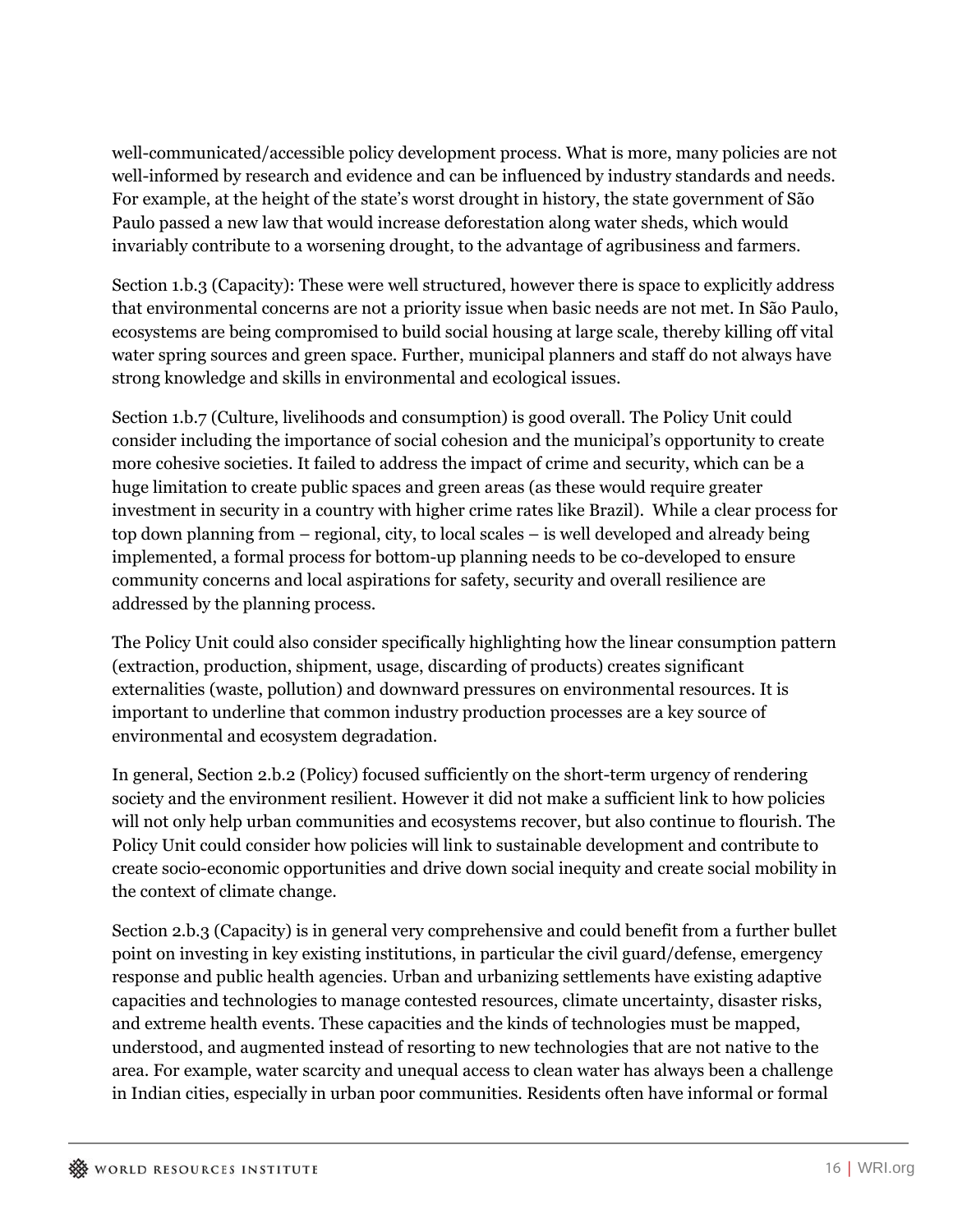well-communicated/accessible policy development process. What is more, many policies are not well-informed by research and evidence and can be influenced by industry standards and needs. For example, at the height of the state's worst drought in history, the state government of São Paulo passed a new law that would increase deforestation along water sheds, which would invariably contribute to a worsening drought, to the advantage of agribusiness and farmers.

Section 1.b.3 (Capacity): These were well structured, however there is space to explicitly address that environmental concerns are not a priority issue when basic needs are not met. In São Paulo, ecosystems are being compromised to build social housing at large scale, thereby killing off vital water spring sources and green space. Further, municipal planners and staff do not always have strong knowledge and skills in environmental and ecological issues.

Section 1.b.7 (Culture, livelihoods and consumption) is good overall. The Policy Unit could consider including the importance of social cohesion and the municipal's opportunity to create more cohesive societies. It failed to address the impact of crime and security, which can be a huge limitation to create public spaces and green areas (as these would require greater investment in security in a country with higher crime rates like Brazil). While a clear process for top down planning from – regional, city, to local scales – is well developed and already being implemented, a formal process for bottom-up planning needs to be co-developed to ensure community concerns and local aspirations for safety, security and overall resilience are addressed by the planning process.

The Policy Unit could also consider specifically highlighting how the linear consumption pattern (extraction, production, shipment, usage, discarding of products) creates significant externalities (waste, pollution) and downward pressures on environmental resources. It is important to underline that common industry production processes are a key source of environmental and ecosystem degradation.

In general, Section 2.b.2 (Policy) focused sufficiently on the short-term urgency of rendering society and the environment resilient. However it did not make a sufficient link to how policies will not only help urban communities and ecosystems recover, but also continue to flourish. The Policy Unit could consider how policies will link to sustainable development and contribute to create socio-economic opportunities and drive down social inequity and create social mobility in the context of climate change.

Section 2.b.3 (Capacity) is in general very comprehensive and could benefit from a further bullet point on investing in key existing institutions, in particular the civil guard/defense, emergency response and public health agencies. Urban and urbanizing settlements have existing adaptive capacities and technologies to manage contested resources, climate uncertainty, disaster risks, and extreme health events. These capacities and the kinds of technologies must be mapped, understood, and augmented instead of resorting to new technologies that are not native to the area. For example, water scarcity and unequal access to clean water has always been a challenge in Indian cities, especially in urban poor communities. Residents often have informal or formal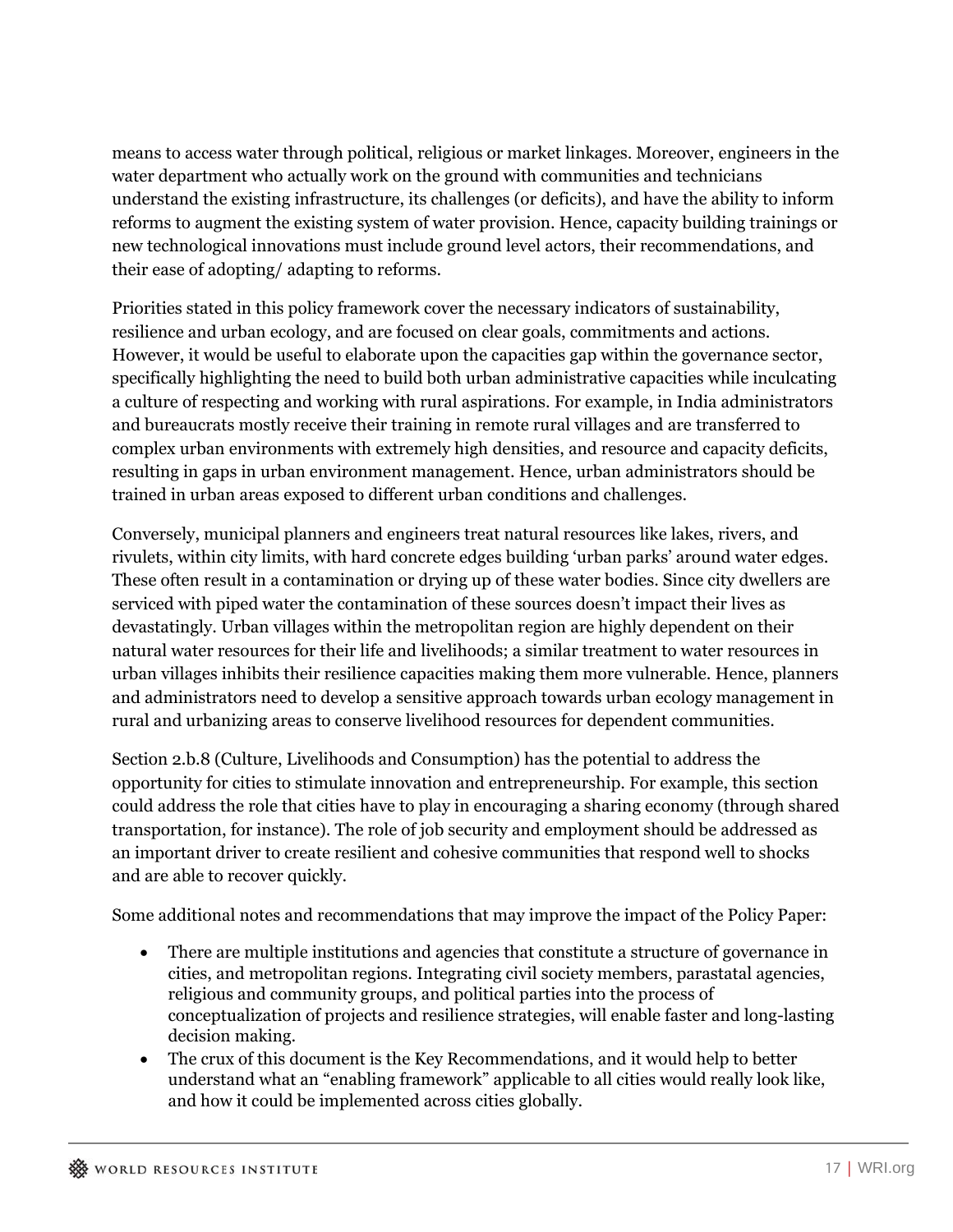means to access water through political, religious or market linkages. Moreover, engineers in the water department who actually work on the ground with communities and technicians understand the existing infrastructure, its challenges (or deficits), and have the ability to inform reforms to augment the existing system of water provision. Hence, capacity building trainings or new technological innovations must include ground level actors, their recommendations, and their ease of adopting/ adapting to reforms.

Priorities stated in this policy framework cover the necessary indicators of sustainability, resilience and urban ecology, and are focused on clear goals, commitments and actions. However, it would be useful to elaborate upon the capacities gap within the governance sector, specifically highlighting the need to build both urban administrative capacities while inculcating a culture of respecting and working with rural aspirations. For example, in India administrators and bureaucrats mostly receive their training in remote rural villages and are transferred to complex urban environments with extremely high densities, and resource and capacity deficits, resulting in gaps in urban environment management. Hence, urban administrators should be trained in urban areas exposed to different urban conditions and challenges.

Conversely, municipal planners and engineers treat natural resources like lakes, rivers, and rivulets, within city limits, with hard concrete edges building 'urban parks' around water edges. These often result in a contamination or drying up of these water bodies. Since city dwellers are serviced with piped water the contamination of these sources doesn't impact their lives as devastatingly. Urban villages within the metropolitan region are highly dependent on their natural water resources for their life and livelihoods; a similar treatment to water resources in urban villages inhibits their resilience capacities making them more vulnerable. Hence, planners and administrators need to develop a sensitive approach towards urban ecology management in rural and urbanizing areas to conserve livelihood resources for dependent communities.

Section 2.b.8 (Culture, Livelihoods and Consumption) has the potential to address the opportunity for cities to stimulate innovation and entrepreneurship. For example, this section could address the role that cities have to play in encouraging a sharing economy (through shared transportation, for instance). The role of job security and employment should be addressed as an important driver to create resilient and cohesive communities that respond well to shocks and are able to recover quickly.

Some additional notes and recommendations that may improve the impact of the Policy Paper:

- There are multiple institutions and agencies that constitute a structure of governance in cities, and metropolitan regions. Integrating civil society members, parastatal agencies, religious and community groups, and political parties into the process of conceptualization of projects and resilience strategies, will enable faster and long-lasting decision making.
- The crux of this document is the Key Recommendations, and it would help to better understand what an "enabling framework" applicable to all cities would really look like, and how it could be implemented across cities globally.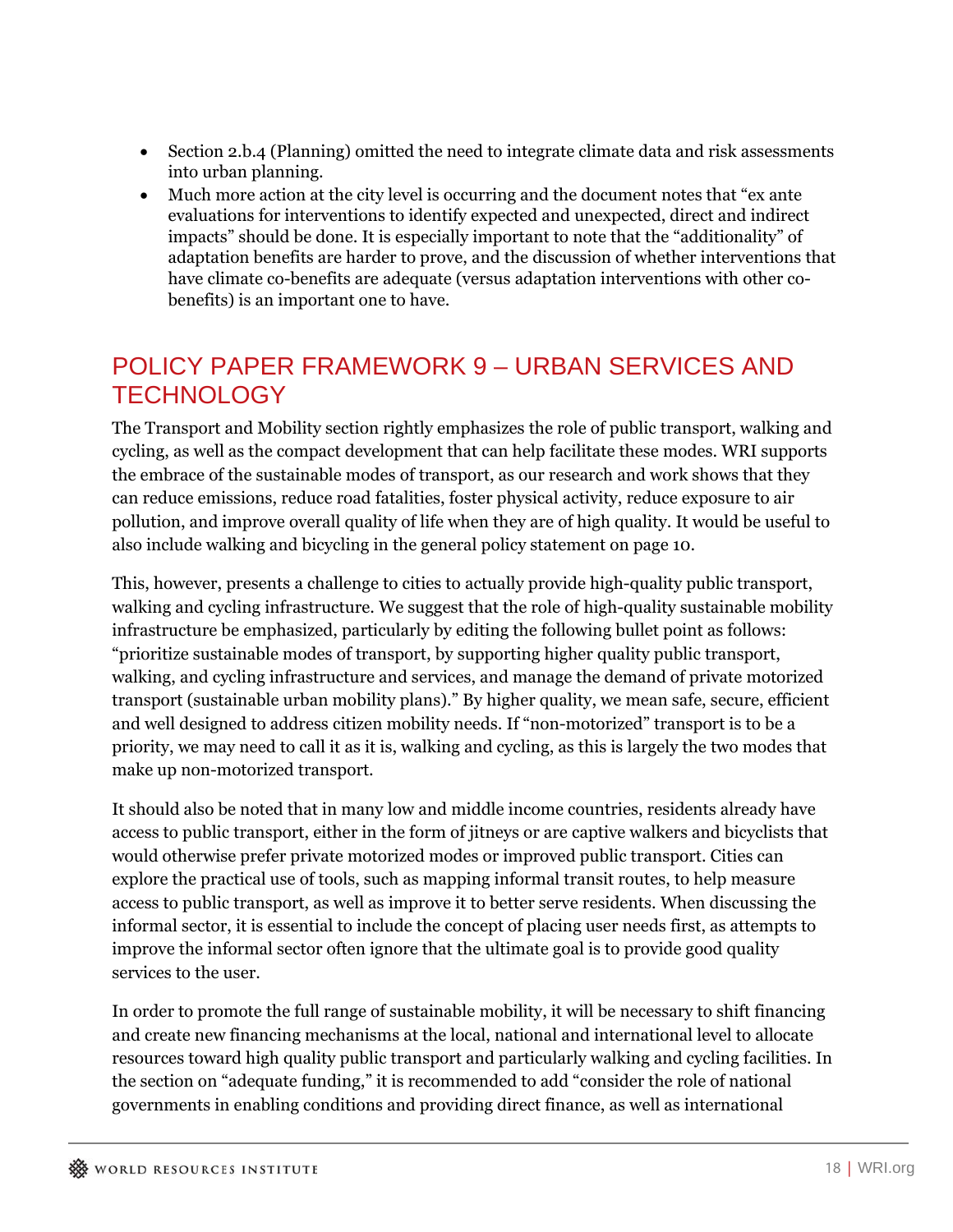- Section 2.b.4 (Planning) omitted the need to integrate climate data and risk assessments into urban planning.
- Much more action at the city level is occurring and the document notes that "ex ante evaluations for interventions to identify expected and unexpected, direct and indirect impacts" should be done. It is especially important to note that the "additionality" of adaptation benefits are harder to prove, and the discussion of whether interventions that have climate co-benefits are adequate (versus adaptation interventions with other cobenefits) is an important one to have.

#### POLICY PAPER FRAMEWORK 9 – URBAN SERVICES AND **TECHNOLOGY**

The Transport and Mobility section rightly emphasizes the role of public transport, walking and cycling, as well as the compact development that can help facilitate these modes. WRI supports the embrace of the sustainable modes of transport, as our research and work shows that they can reduce emissions, reduce road fatalities, foster physical activity, reduce exposure to air pollution, and improve overall quality of life when they are of high quality. It would be useful to also include walking and bicycling in the general policy statement on page 10.

This, however, presents a challenge to cities to actually provide high-quality public transport, walking and cycling infrastructure. We suggest that the role of high-quality sustainable mobility infrastructure be emphasized, particularly by editing the following bullet point as follows: "prioritize sustainable modes of transport, by supporting higher quality public transport, walking, and cycling infrastructure and services, and manage the demand of private motorized transport (sustainable urban mobility plans)." By higher quality, we mean safe, secure, efficient and well designed to address citizen mobility needs. If "non-motorized" transport is to be a priority, we may need to call it as it is, walking and cycling, as this is largely the two modes that make up non-motorized transport.

It should also be noted that in many low and middle income countries, residents already have access to public transport, either in the form of jitneys or are captive walkers and bicyclists that would otherwise prefer private motorized modes or improved public transport. Cities can explore the practical use of tools, such as mapping informal transit routes, to help measure access to public transport, as well as improve it to better serve residents. When discussing the informal sector, it is essential to include the concept of placing user needs first, as attempts to improve the informal sector often ignore that the ultimate goal is to provide good quality services to the user.

In order to promote the full range of sustainable mobility, it will be necessary to shift financing and create new financing mechanisms at the local, national and international level to allocate resources toward high quality public transport and particularly walking and cycling facilities. In the section on "adequate funding," it is recommended to add "consider the role of national governments in enabling conditions and providing direct finance, as well as international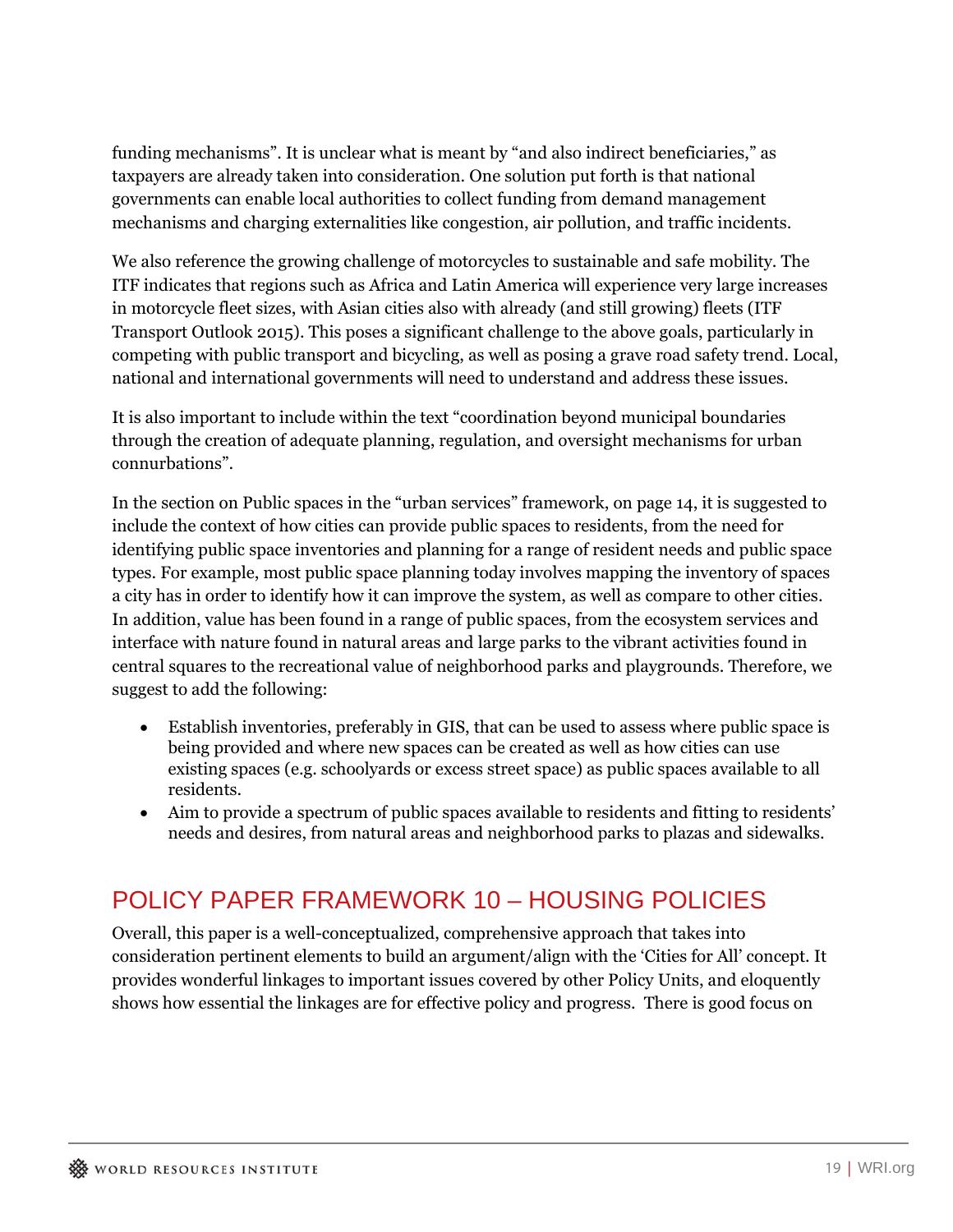funding mechanisms". It is unclear what is meant by "and also indirect beneficiaries," as taxpayers are already taken into consideration. One solution put forth is that national governments can enable local authorities to collect funding from demand management mechanisms and charging externalities like congestion, air pollution, and traffic incidents.

We also reference the growing challenge of motorcycles to sustainable and safe mobility. The ITF indicates that regions such as Africa and Latin America will experience very large increases in motorcycle fleet sizes, with Asian cities also with already (and still growing) fleets (ITF Transport Outlook 2015). This poses a significant challenge to the above goals, particularly in competing with public transport and bicycling, as well as posing a grave road safety trend. Local, national and international governments will need to understand and address these issues.

It is also important to include within the text "coordination beyond municipal boundaries through the creation of adequate planning, regulation, and oversight mechanisms for urban connurbations".

In the section on Public spaces in the "urban services" framework, on page 14, it is suggested to include the context of how cities can provide public spaces to residents, from the need for identifying public space inventories and planning for a range of resident needs and public space types. For example, most public space planning today involves mapping the inventory of spaces a city has in order to identify how it can improve the system, as well as compare to other cities. In addition, value has been found in a range of public spaces, from the ecosystem services and interface with nature found in natural areas and large parks to the vibrant activities found in central squares to the recreational value of neighborhood parks and playgrounds. Therefore, we suggest to add the following:

- Establish inventories, preferably in GIS, that can be used to assess where public space is being provided and where new spaces can be created as well as how cities can use existing spaces (e.g. schoolyards or excess street space) as public spaces available to all residents.
- Aim to provide a spectrum of public spaces available to residents and fitting to residents' needs and desires, from natural areas and neighborhood parks to plazas and sidewalks.

# POLICY PAPER FRAMEWORK 10 – HOUSING POLICIES

Overall, this paper is a well-conceptualized, comprehensive approach that takes into consideration pertinent elements to build an argument/align with the 'Cities for All' concept. It provides wonderful linkages to important issues covered by other Policy Units, and eloquently shows how essential the linkages are for effective policy and progress. There is good focus on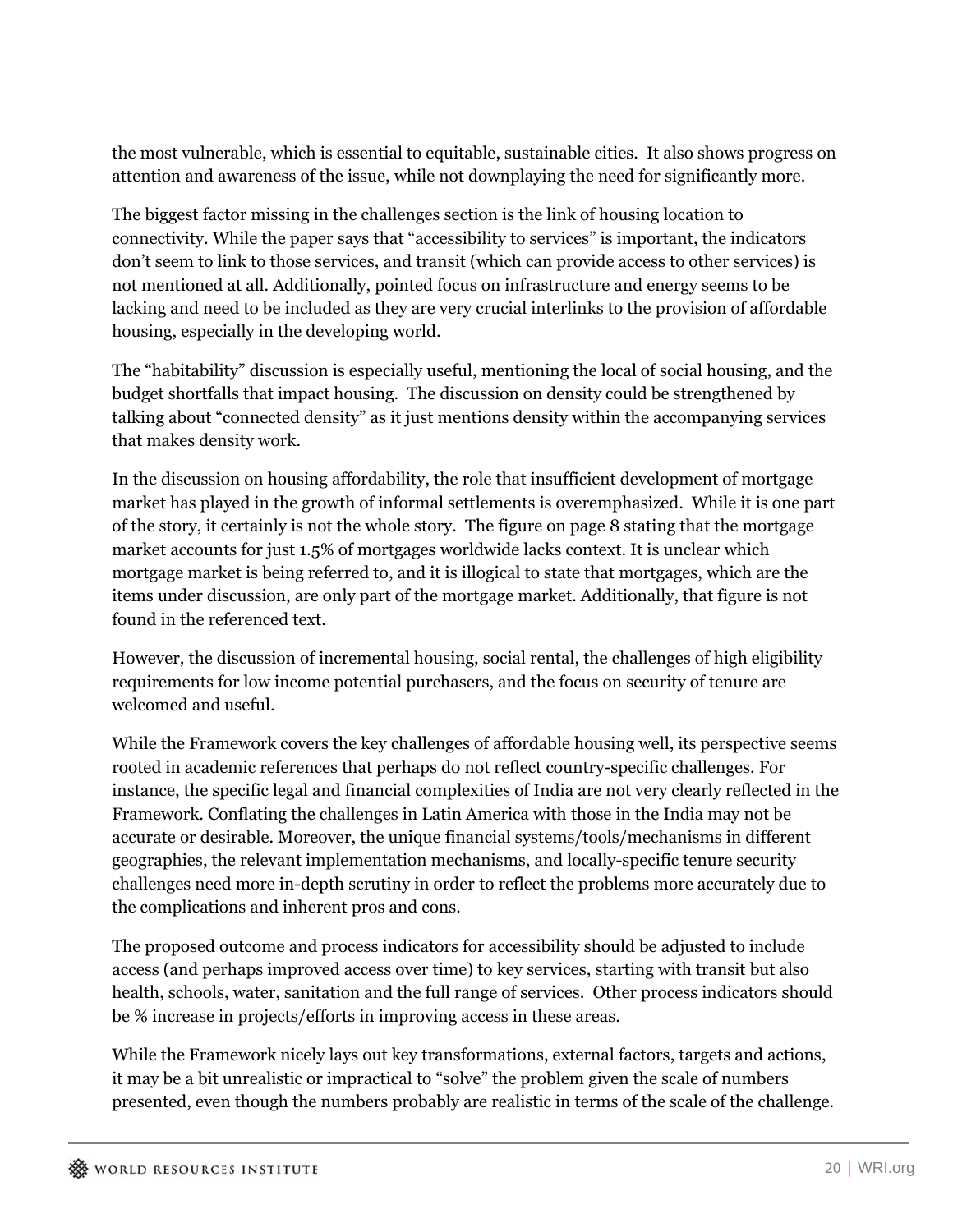the most vulnerable, which is essential to equitable, sustainable cities. It also shows progress on attention and awareness of the issue, while not downplaying the need for significantly more.

The biggest factor missing in the challenges section is the link of housing location to connectivity. While the paper says that "accessibility to services" is important, the indicators don't seem to link to those services, and transit (which can provide access to other services) is not mentioned at all. Additionally, pointed focus on infrastructure and energy seems to be lacking and need to be included as they are very crucial interlinks to the provision of affordable housing, especially in the developing world.

The "habitability" discussion is especially useful, mentioning the local of social housing, and the budget shortfalls that impact housing. The discussion on density could be strengthened by talking about "connected density" as it just mentions density within the accompanying services that makes density work.

In the discussion on housing affordability, the role that insufficient development of mortgage market has played in the growth of informal settlements is overemphasized. While it is one part of the story, it certainly is not the whole story. The figure on page 8 stating that the mortgage market accounts for just 1.5% of mortgages worldwide lacks context. It is unclear which mortgage market is being referred to, and it is illogical to state that mortgages, which are the items under discussion, are only part of the mortgage market. Additionally, that figure is not found in the referenced text.

However, the discussion of incremental housing, social rental, the challenges of high eligibility requirements for low income potential purchasers, and the focus on security of tenure are welcomed and useful.

While the Framework covers the key challenges of affordable housing well, its perspective seems rooted in academic references that perhaps do not reflect country-specific challenges. For instance, the specific legal and financial complexities of India are not very clearly reflected in the Framework. Conflating the challenges in Latin America with those in the India may not be accurate or desirable. Moreover, the unique financial systems/tools/mechanisms in different geographies, the relevant implementation mechanisms, and locally-specific tenure security challenges need more in-depth scrutiny in order to reflect the problems more accurately due to the complications and inherent pros and cons.

The proposed outcome and process indicators for accessibility should be adjusted to include access (and perhaps improved access over time) to key services, starting with transit but also health, schools, water, sanitation and the full range of services. Other process indicators should be % increase in projects/efforts in improving access in these areas.

While the Framework nicely lays out key transformations, external factors, targets and actions, it may be a bit unrealistic or impractical to "solve" the problem given the scale of numbers presented, even though the numbers probably are realistic in terms of the scale of the challenge.